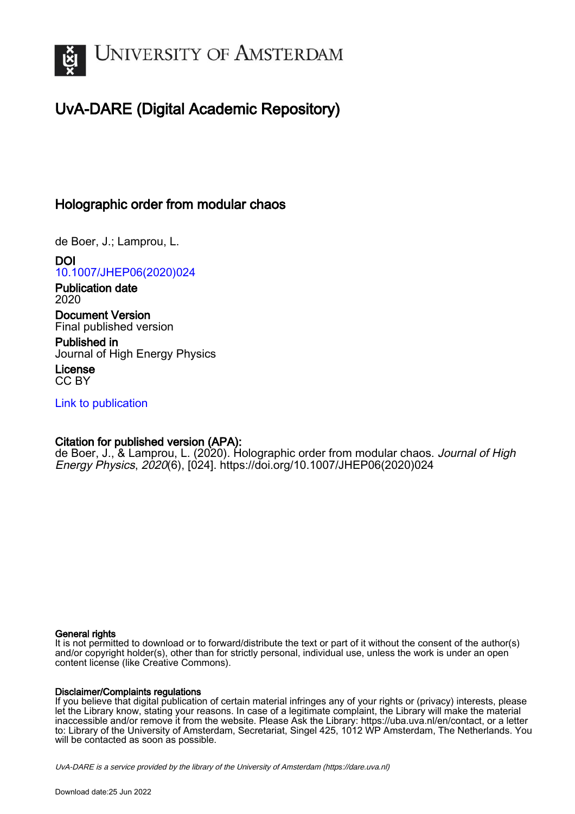

# UvA-DARE (Digital Academic Repository)

## Holographic order from modular chaos

de Boer, J.; Lamprou, L.

DOI [10.1007/JHEP06\(2020\)024](https://doi.org/10.1007/JHEP06(2020)024)

Publication date 2020

Document Version Final published version

Published in Journal of High Energy Physics

License CC BY

[Link to publication](https://dare.uva.nl/personal/pure/en/publications/holographic-order-from-modular-chaos(874ea99e-5f0c-4593-a691-9b68839cdcda).html)

## Citation for published version (APA):

de Boer, J., & Lamprou, L. (2020). Holographic order from modular chaos. Journal of High Energy Physics, 2020(6), [024]. [https://doi.org/10.1007/JHEP06\(2020\)024](https://doi.org/10.1007/JHEP06(2020)024)

#### General rights

It is not permitted to download or to forward/distribute the text or part of it without the consent of the author(s) and/or copyright holder(s), other than for strictly personal, individual use, unless the work is under an open content license (like Creative Commons).

#### Disclaimer/Complaints regulations

If you believe that digital publication of certain material infringes any of your rights or (privacy) interests, please let the Library know, stating your reasons. In case of a legitimate complaint, the Library will make the material inaccessible and/or remove it from the website. Please Ask the Library: https://uba.uva.nl/en/contact, or a letter to: Library of the University of Amsterdam, Secretariat, Singel 425, 1012 WP Amsterdam, The Netherlands. You will be contacted as soon as possible.

UvA-DARE is a service provided by the library of the University of Amsterdam (http*s*://dare.uva.nl)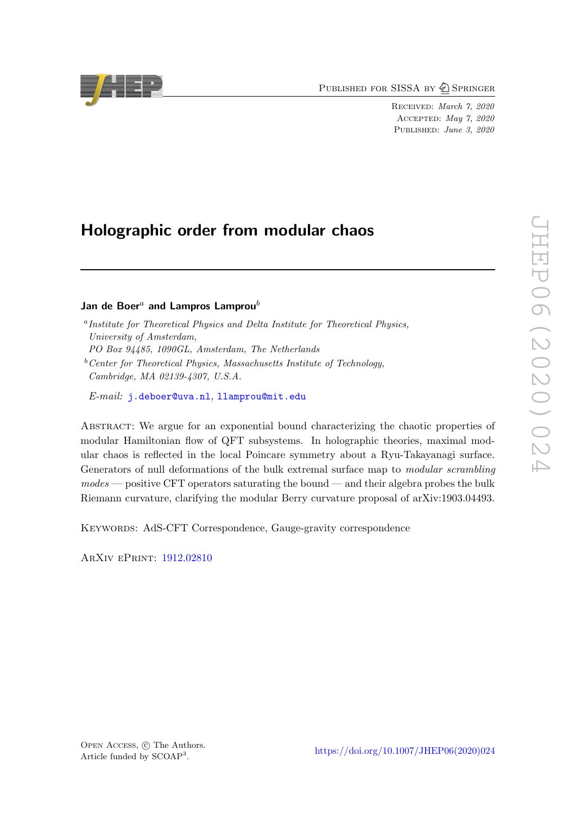PUBLISHED FOR SISSA BY 2 SPRINGER

Received: March 7, 2020 Accepted: May 7, 2020 PUBLISHED: June 3, 2020

## Holographic order from modular chaos

## Jan de Boer<sup>a</sup> and Lampros Lamprou<sup>b</sup>

- <sup>a</sup> Institute for Theoretical Physics and Delta Institute for Theoretical Physics, University of Amsterdam,
- PO Box 94485, 1090GL, Amsterdam, The Netherlands
- $b$ <sup>b</sup>Center for Theoretical Physics, Massachusetts Institute of Technology, Cambridge, MA 02139-4307, U.S.A.
- E-mail: [j.deboer@uva.nl](mailto:j.deboer@uva.nl), [llamprou@mit.edu](mailto:llamprou@mit.edu)

Abstract: We argue for an exponential bound characterizing the chaotic properties of modular Hamiltonian flow of QFT subsystems. In holographic theories, maximal modular chaos is reflected in the local Poincare symmetry about a Ryu-Takayanagi surface. Generators of null deformations of the bulk extremal surface map to modular scrambling  $modes — positive CFT operators saturating the bound — and their algebra probes the bulk$ Riemann curvature, clarifying the modular Berry curvature proposal of arXiv:1903.04493.

KEYWORDS: AdS-CFT Correspondence, Gauge-gravity correspondence

ArXiv ePrint: [1912.02810](https://arxiv.org/abs/1912.02810)

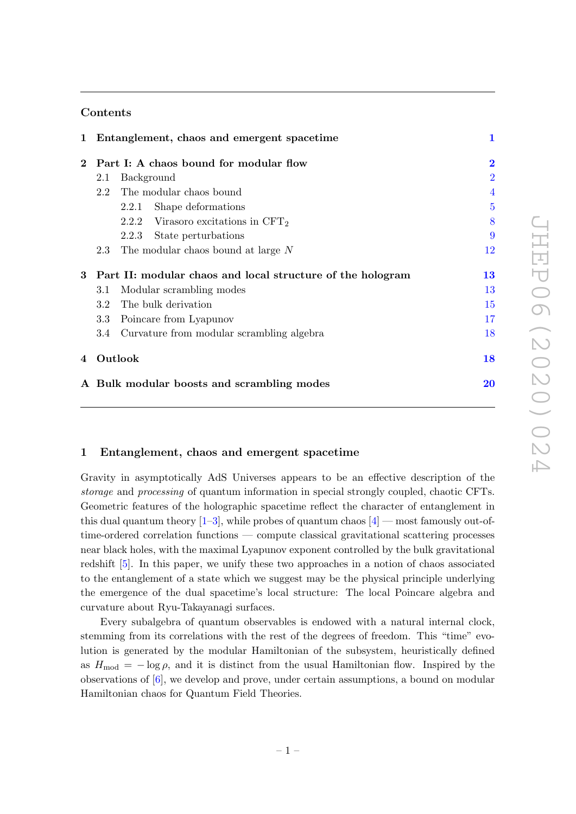## Contents

|          |                                                            | 1 Entanglement, chaos and emergent spacetime | $\mathbf{1}$   |
|----------|------------------------------------------------------------|----------------------------------------------|----------------|
| $\bf{2}$ |                                                            | Part I: A chaos bound for modular flow       | $\bf{2}$       |
|          | 2.1                                                        | Background                                   | $\overline{2}$ |
|          | 2.2                                                        | The modular chaos bound                      | $\overline{4}$ |
|          |                                                            | Shape deformations<br>2.2.1                  | $\overline{5}$ |
|          |                                                            | 2.2.2 Virasoro excitations in $CFT2$         | 8              |
|          |                                                            | 2.2.3<br>State perturbations                 | 9              |
|          | 2.3                                                        | The modular chaos bound at large N           | 12             |
| 3        | Part II: modular chaos and local structure of the hologram |                                              | 13             |
|          | 3.1                                                        | Modular scrambling modes                     | 13             |
|          | 3.2                                                        | The bulk derivation                          | 15             |
|          | 3.3                                                        | Poincare from Lyapunov                       | 17             |
|          | 3.4                                                        | Curvature from modular scrambling algebra    | 18             |
| 4        | Outlook                                                    |                                              | 18             |
|          |                                                            | A Bulk modular boosts and scrambling modes   | 20             |

### <span id="page-2-0"></span>1 Entanglement, chaos and emergent spacetime

Gravity in asymptotically AdS Universes appears to be an effective description of the storage and processing of quantum information in special strongly coupled, chaotic CFTs. Geometric features of the holographic spacetime reflect the character of entanglement in this dual quantum theory  $[1-3]$  $[1-3]$ , while probes of quantum chaos  $[4]$  — most famously out-oftime-ordered correlation functions — compute classical gravitational scattering processes near black holes, with the maximal Lyapunov exponent controlled by the bulk gravitational redshift [\[5\]](#page-23-2). In this paper, we unify these two approaches in a notion of chaos associated to the entanglement of a state which we suggest may be the physical principle underlying the emergence of the dual spacetime's local structure: The local Poincare algebra and curvature about Ryu-Takayanagi surfaces.

Every subalgebra of quantum observables is endowed with a natural internal clock, stemming from its correlations with the rest of the degrees of freedom. This "time" evolution is generated by the modular Hamiltonian of the subsystem, heuristically defined as  $H_{\text{mod}} = -\log \rho$ , and it is distinct from the usual Hamiltonian flow. Inspired by the observations of [\[6\]](#page-23-3), we develop and prove, under certain assumptions, a bound on modular Hamiltonian chaos for Quantum Field Theories.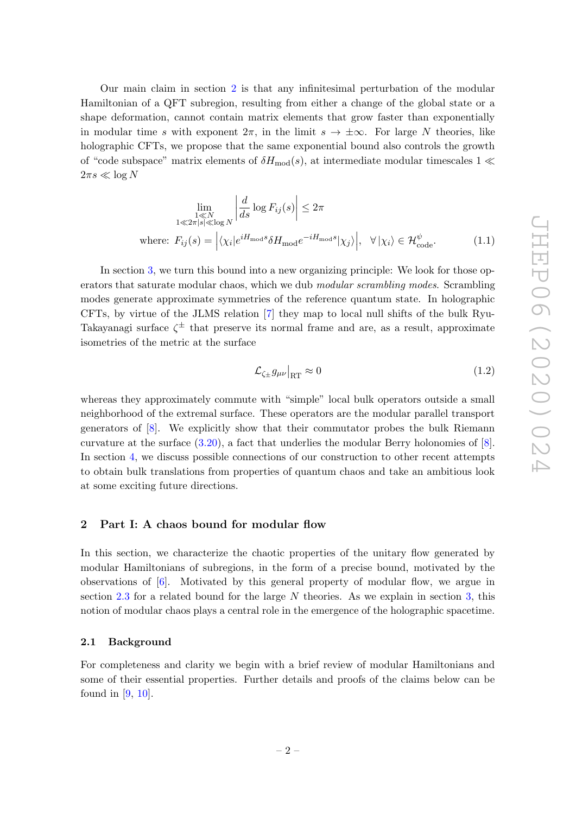Our main claim in section [2](#page-3-0) is that any infinitesimal perturbation of the modular Hamiltonian of a QFT subregion, resulting from either a change of the global state or a shape deformation, cannot contain matrix elements that grow faster than exponentially in modular time s with exponent  $2\pi$ , in the limit  $s \to \pm \infty$ . For large N theories, like holographic CFTs, we propose that the same exponential bound also controls the growth of "code subspace" matrix elements of  $\delta H_{\text{mod}}(s)$ , at intermediate modular timescales  $1 \ll$  $2\pi s \ll \log N$ 

$$
\lim_{\substack{1 \le N \\ 1 \le 2\pi |s| \le \log N}} \left| \frac{d}{ds} \log F_{ij}(s) \right| \le 2\pi
$$
\nwhere:  $F_{ij}(s) = \left| \langle \chi_i | e^{i H_{\text{mod}} s} \delta H_{\text{mod}} e^{-i H_{\text{mod}} s} | \chi_j \rangle \right|, \quad \forall |\chi_i\rangle \in \mathcal{H}_{\text{code}}^{\psi}.$ 

\n(1.1)

In section [3,](#page-14-0) we turn this bound into a new organizing principle: We look for those operators that saturate modular chaos, which we dub modular scrambling modes. Scrambling modes generate approximate symmetries of the reference quantum state. In holographic CFTs, by virtue of the JLMS relation [\[7\]](#page-23-4) they map to local null shifts of the bulk Ryu-Takayanagi surface  $\zeta^{\pm}$  that preserve its normal frame and are, as a result, approximate isometries of the metric at the surface

$$
\mathcal{L}_{\zeta_{\pm}} g_{\mu\nu}|_{\text{RT}} \approx 0 \tag{1.2}
$$

whereas they approximately commute with "simple" local bulk operators outside a small neighborhood of the extremal surface. These operators are the modular parallel transport generators of [\[8\]](#page-23-5). We explicitly show that their commutator probes the bulk Riemann curvature at the surface [\(3.20\)](#page-19-2), a fact that underlies the modular Berry holonomies of [\[8\]](#page-23-5). In section [4,](#page-19-1) we discuss possible connections of our construction to other recent attempts to obtain bulk translations from properties of quantum chaos and take an ambitious look at some exciting future directions.

## <span id="page-3-0"></span>2 Part I: A chaos bound for modular flow

In this section, we characterize the chaotic properties of the unitary flow generated by modular Hamiltonians of subregions, in the form of a precise bound, motivated by the observations of [\[6\]](#page-23-3). Motivated by this general property of modular flow, we argue in section  $2.3$  for a related bound for the large N theories. As we explain in section [3,](#page-14-0) this notion of modular chaos plays a central role in the emergence of the holographic spacetime.

#### <span id="page-3-1"></span>2.1 Background

For completeness and clarity we begin with a brief review of modular Hamiltonians and some of their essential properties. Further details and proofs of the claims below can be found in [\[9,](#page-23-6) [10\]](#page-23-7).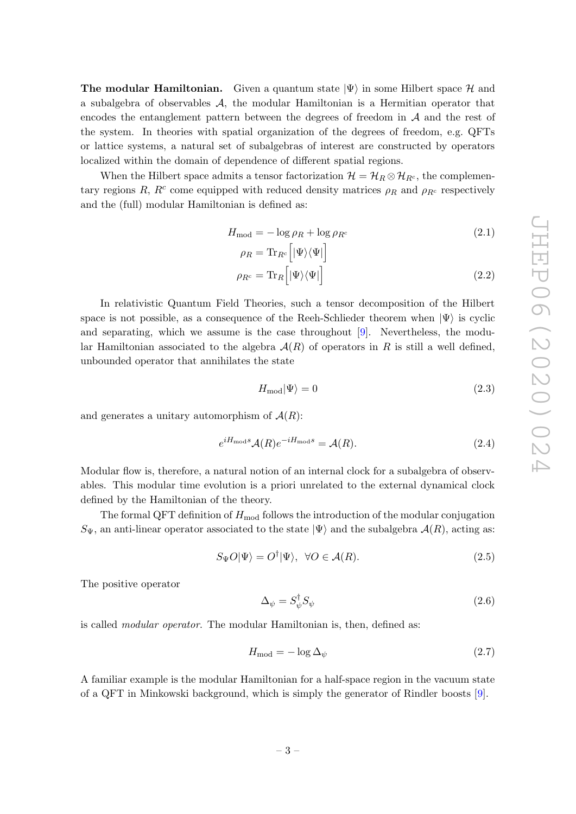**The modular Hamiltonian.** Given a quantum state  $|\Psi\rangle$  in some Hilbert space H and a subalgebra of observables A, the modular Hamiltonian is a Hermitian operator that encodes the entanglement pattern between the degrees of freedom in  $A$  and the rest of the system. In theories with spatial organization of the degrees of freedom, e.g. QFTs or lattice systems, a natural set of subalgebras of interest are constructed by operators localized within the domain of dependence of different spatial regions.

When the Hilbert space admits a tensor factorization  $\mathcal{H} = \mathcal{H}_R \otimes \mathcal{H}_{R^c}$ , the complementary regions R,  $R<sup>c</sup>$  come equipped with reduced density matrices  $\rho_R$  and  $\rho_{R<sup>c</sup>}$  respectively and the (full) modular Hamiltonian is defined as:

$$
H_{\text{mod}} = -\log \rho_R + \log \rho_{R^c} \tag{2.1}
$$

$$
\rho_R = \text{Tr}_{R^c} \Big[ |\Psi\rangle\langle\Psi| \Big]
$$

$$
\rho_{R^c} = \text{Tr}_R \Big[ |\Psi\rangle\langle\Psi| \Big] \tag{2.2}
$$

In relativistic Quantum Field Theories, such a tensor decomposition of the Hilbert space is not possible, as a consequence of the Reeh-Schlieder theorem when  $|\Psi\rangle$  is cyclic and separating, which we assume is the case throughout [\[9\]](#page-23-6). Nevertheless, the modular Hamiltonian associated to the algebra  $A(R)$  of operators in R is still a well defined, unbounded operator that annihilates the state

<span id="page-4-2"></span>
$$
H_{\text{mod}}|\Psi\rangle = 0\tag{2.3}
$$

and generates a unitary automorphism of  $A(R)$ :

$$
e^{iH_{\text{mod}}s}\mathcal{A}(R)e^{-iH_{\text{mod}}s} = \mathcal{A}(R). \tag{2.4}
$$

Modular flow is, therefore, a natural notion of an internal clock for a subalgebra of observables. This modular time evolution is a priori unrelated to the external dynamical clock defined by the Hamiltonian of the theory.

The formal QFT definition of  $H_{mod}$  follows the introduction of the modular conjugation  $S_{\Psi}$ , an anti-linear operator associated to the state  $|\Psi\rangle$  and the subalgebra  $\mathcal{A}(R)$ , acting as:

$$
S_{\Psi}O|\Psi\rangle = O^{\dagger}|\Psi\rangle, \ \ \forall O \in \mathcal{A}(R). \tag{2.5}
$$

The positive operator

<span id="page-4-1"></span><span id="page-4-0"></span>
$$
\Delta_{\psi} = S_{\psi}^{\dagger} S_{\psi} \tag{2.6}
$$

is called modular operator. The modular Hamiltonian is, then, defined as:

$$
H_{\text{mod}} = -\log \Delta_{\psi} \tag{2.7}
$$

A familiar example is the modular Hamiltonian for a half-space region in the vacuum state of a QFT in Minkowski background, which is simply the generator of Rindler boosts [\[9\]](#page-23-6).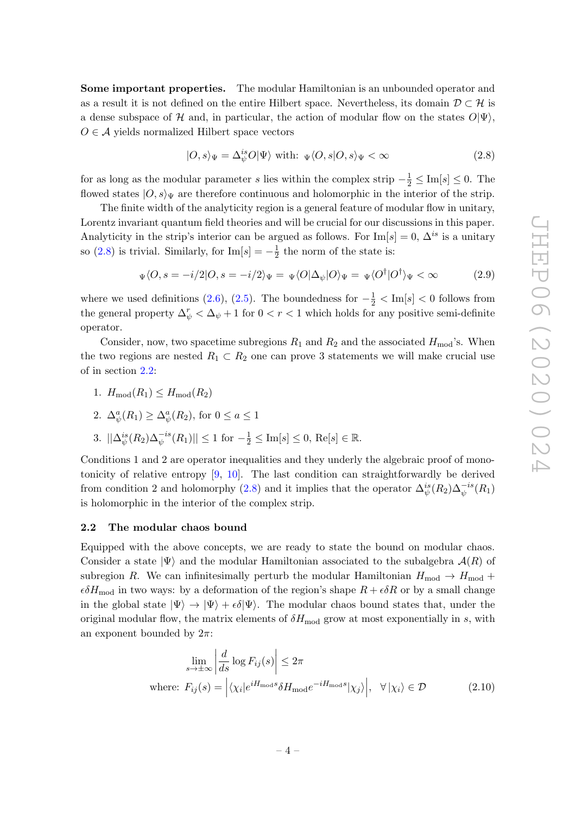Some important properties. The modular Hamiltonian is an unbounded operator and as a result it is not defined on the entire Hilbert space. Nevertheless, its domain  $\mathcal{D} \subset \mathcal{H}$  is a dense subspace of H and, in particular, the action of modular flow on the states  $O|\Psi\rangle$ ,  $O \in \mathcal{A}$  yields normalized Hilbert space vectors

<span id="page-5-1"></span>
$$
|O,s\rangle_{\Psi} = \Delta_{\psi}^{is} O|\Psi\rangle \text{ with: } \Psi\langle O,s|O,s\rangle_{\Psi} < \infty \tag{2.8}
$$

for as long as the modular parameter s lies within the complex strip  $-\frac{1}{2} \leq \text{Im}[s] \leq 0$ . The flowed states  $|O, s \rangle_{\Psi}$  are therefore continuous and holomorphic in the interior of the strip.

The finite width of the analyticity region is a general feature of modular flow in unitary, Lorentz invariant quantum field theories and will be crucial for our discussions in this paper. Analyticity in the strip's interior can be argued as follows. For  $\text{Im}[s] = 0$ ,  $\Delta^{is}$  is a unitary so [\(2.8\)](#page-5-1) is trivial. Similarly, for  $\text{Im}[s] = -\frac{1}{2}$  $\frac{1}{2}$  the norm of the state is:

$$
\Psi\langle O, s = -i/2|O, s = -i/2\rangle\Psi = \Psi\langle O|\Delta_{\psi}|O\rangle\Psi = \Psi\langle O^{\dagger}|O^{\dagger}\rangle\Psi < \infty \tag{2.9}
$$

where we used definitions [\(2.6\)](#page-4-0), [\(2.5\)](#page-4-1). The boundedness for  $-\frac{1}{2}$  < Im[s] < 0 follows from the general property  $\Delta_{\psi}^{r} < \Delta_{\psi} + 1$  for  $0 < r < 1$  which holds for any positive semi-definite operator.

Consider, now, two spacetime subregions  $R_1$  and  $R_2$  and the associated  $H_{mod}$ 's. When the two regions are nested  $R_1 \subset R_2$  one can prove 3 statements we will make crucial use of in section [2.2:](#page-5-0)

1.  $H_{mod}(R_1) \leq H_{mod}(R_2)$ 

2. 
$$
\Delta_{\psi}^a(R_1) \geq \Delta_{\psi}^a(R_2)
$$
, for  $0 \leq a \leq 1$ 

3. 
$$
||\Delta_{\psi}^{is}(R_2)\Delta_{\psi}^{-is}(R_1)|| \le 1
$$
 for  $-\frac{1}{2} \le \text{Im}[s] \le 0$ , Re[s]  $\in \mathbb{R}$ .

Conditions 1 and 2 are operator inequalities and they underly the algebraic proof of monotonicity of relative entropy [\[9,](#page-23-6) [10\]](#page-23-7). The last condition can straightforwardly be derived from condition 2 and holomorphy [\(2.8\)](#page-5-1) and it implies that the operator  $\Delta_{\psi}^{is}(R_2)\Delta_{\psi}^{-is}(R_1)$ is holomorphic in the interior of the complex strip.

#### <span id="page-5-0"></span>2.2 The modular chaos bound

Equipped with the above concepts, we are ready to state the bound on modular chaos. Consider a state  $|\Psi\rangle$  and the modular Hamiltonian associated to the subalgebra  $\mathcal{A}(R)$  of subregion R. We can infinitesimally perturb the modular Hamiltonian  $H_{mod} \rightarrow H_{mod}$  +  $\epsilon \delta H_{\text{mod}}$  in two ways: by a deformation of the region's shape  $R + \epsilon \delta R$  or by a small change in the global state  $|\Psi\rangle \rightarrow |\Psi\rangle + \epsilon \delta |\Psi\rangle$ . The modular chaos bound states that, under the original modular flow, the matrix elements of  $\delta H_{\text{mod}}$  grow at most exponentially in s, with an exponent bounded by  $2\pi$ :

<span id="page-5-2"></span>
$$
\lim_{s \to \pm \infty} \left| \frac{d}{ds} \log F_{ij}(s) \right| \leq 2\pi
$$
\nwhere:  $F_{ij}(s) = \left| \langle \chi_i | e^{i H_{\text{mod}} s} \delta H_{\text{mod}} e^{-i H_{\text{mod}} s} | \chi_j \rangle \right|, \quad \forall \left| \chi_i \right\rangle \in \mathcal{D}$ 

\n(2.10)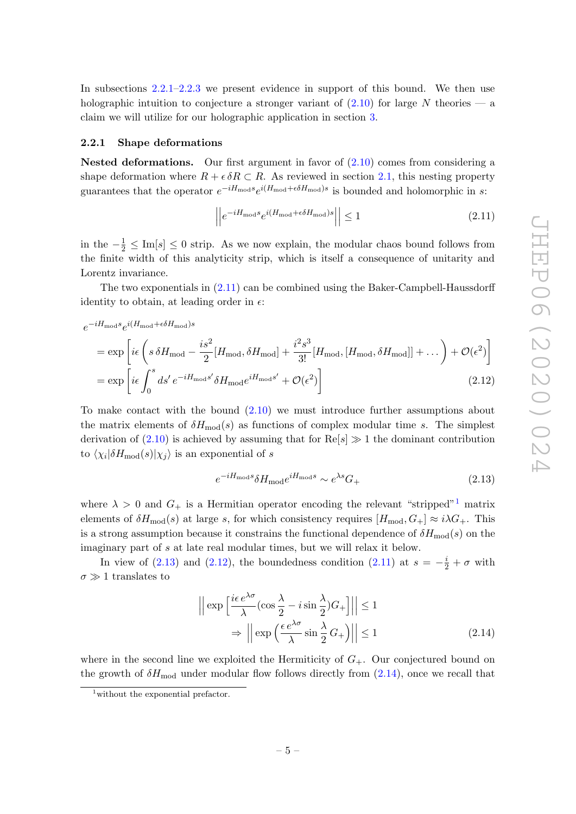In subsections [2.2.1–](#page-6-0)[2.2.3](#page-10-0) we present evidence in support of this bound. We then use holographic intuition to conjecture a stronger variant of  $(2.10)$  for large N theories — a claim we will utilize for our holographic application in section [3.](#page-14-0)

#### <span id="page-6-0"></span>2.2.1 Shape deformations

**Nested deformations.** Our first argument in favor of  $(2.10)$  comes from considering a shape deformation where  $R + \epsilon \delta R \subset R$ . As reviewed in section [2.1,](#page-3-1) this nesting property guarantees that the operator  $e^{-iH_{\text{mod}}s}e^{i(H_{\text{mod}}+\epsilon\delta H_{\text{mod}})s}$  is bounded and holomorphic in s:

<span id="page-6-1"></span>
$$
\left| \left| e^{-iH_{\text{mod}}s} e^{i(H_{\text{mod}} + \epsilon \delta H_{\text{mod}})s} \right| \right| \le 1 \tag{2.11}
$$

in the  $-\frac{1}{2}$  ≤ Im[s] ≤ 0 strip. As we now explain, the modular chaos bound follows from the finite width of this analyticity strip, which is itself a consequence of unitarity and Lorentz invariance.

The two exponentials in [\(2.11\)](#page-6-1) can be combined using the Baker-Campbell-Haussdorff identity to obtain, at leading order in  $\epsilon$ :

$$
e^{-iH_{\rm mod}s}e^{i(H_{\rm mod}+\epsilon\delta H_{\rm mod})s}
$$

$$
= \exp\left[i\epsilon \left(s\,\delta H_{\text{mod}} - \frac{is^2}{2}[H_{\text{mod}}, \delta H_{\text{mod}}] + \frac{i^2 s^3}{3!}[H_{\text{mod}}, [H_{\text{mod}}, \delta H_{\text{mod}}]] + \dots\right) + \mathcal{O}(\epsilon^2)\right]
$$

$$
= \exp\left[i\epsilon \int_0^s ds' e^{-iH_{\text{mod}}s'} \delta H_{\text{mod}} e^{iH_{\text{mod}}s'} + \mathcal{O}(\epsilon^2)\right]
$$
(2.12)

To make contact with the bound [\(2.10\)](#page-5-2) we must introduce further assumptions about the matrix elements of  $\delta H_{\text{mod}}(s)$  as functions of complex modular time s. The simplest derivation of  $(2.10)$  is achieved by assuming that for Re $[s] \gg 1$  the dominant contribution to  $\langle \chi_i | \delta H_{\text{mod}}(s) | \chi_j \rangle$  is an exponential of s

<span id="page-6-4"></span><span id="page-6-3"></span>
$$
e^{-iH_{\text{mod}}s} \delta H_{\text{mod}} e^{iH_{\text{mod}}s} \sim e^{\lambda s} G_+\tag{2.13}
$$

where  $\lambda > 0$  and  $G_+$  is a Hermitian operator encoding the relevant "stripped"<sup>[1](#page-6-2)</sup> matrix elements of  $\delta H_{\text{mod}}(s)$  at large s, for which consistency requires  $[H_{\text{mod}}, G_{+}] \approx i \lambda G_{+}$ . This is a strong assumption because it constrains the functional dependence of  $\delta H_{\text{mod}}(s)$  on the imaginary part of s at late real modular times, but we will relax it below.

In view of [\(2.13\)](#page-6-3) and [\(2.12\)](#page-6-4), the boundedness condition [\(2.11\)](#page-6-1) at  $s = -\frac{i}{2} + \sigma$  with  $\sigma \gg 1$  translates to

<span id="page-6-5"></span>
$$
\left| \left| \exp \left[ \frac{i\epsilon e^{\lambda \sigma}}{\lambda} (\cos \frac{\lambda}{2} - i \sin \frac{\lambda}{2}) G_+ \right] \right| \right| \le 1
$$
  
\n
$$
\Rightarrow \left| \left| \exp \left( \frac{\epsilon e^{\lambda \sigma}}{\lambda} \sin \frac{\lambda}{2} G_+ \right) \right| \right| \le 1
$$
 (2.14)

where in the second line we exploited the Hermiticity of  $G_{+}$ . Our conjectured bound on the growth of  $\delta H_{\text{mod}}$  under modular flow follows directly from  $(2.14)$ , once we recall that

<span id="page-6-2"></span><sup>&</sup>lt;sup>1</sup>without the exponential prefactor.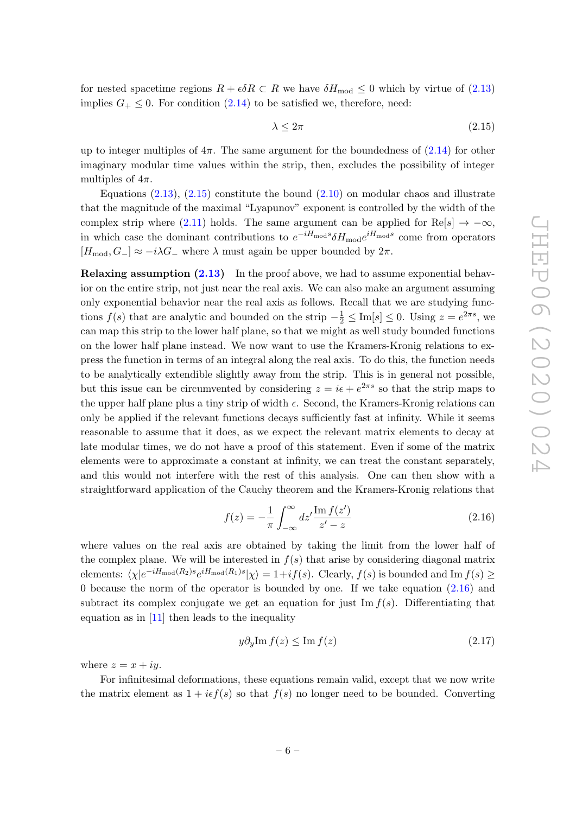for nested spacetime regions  $R + \epsilon \delta R \subset R$  we have  $\delta H_{\text{mod}} \leq 0$  which by virtue of  $(2.13)$ implies  $G_+ \leq 0$ . For condition [\(2.14\)](#page-6-5) to be satisfied we, therefore, need:

<span id="page-7-0"></span>
$$
\lambda \le 2\pi \tag{2.15}
$$

up to integer multiples of  $4\pi$ . The same argument for the boundedness of  $(2.14)$  for other imaginary modular time values within the strip, then, excludes the possibility of integer multiples of  $4\pi$ .

Equations  $(2.13)$ ,  $(2.15)$  constitute the bound  $(2.10)$  on modular chaos and illustrate that the magnitude of the maximal "Lyapunov" exponent is controlled by the width of the complex strip where [\(2.11\)](#page-6-1) holds. The same argument can be applied for Re[s]  $\rightarrow -\infty$ , in which case the dominant contributions to  $e^{-iH_{\text{mod}}s} \delta H_{\text{mod}} e^{iH_{\text{mod}}s}$  come from operators  $[H_{\text{mod}}, G_{-}] \approx -i\lambda G_{-}$  where  $\lambda$  must again be upper bounded by  $2\pi$ .

Relaxing assumption [\(2.13\)](#page-6-3) In the proof above, we had to assume exponential behavior on the entire strip, not just near the real axis. We can also make an argument assuming only exponential behavior near the real axis as follows. Recall that we are studying functions  $f(s)$  that are analytic and bounded on the strip  $-\frac{1}{2} \leq \text{Im}[s] \leq 0$ . Using  $z = e^{2\pi s}$ , we can map this strip to the lower half plane, so that we might as well study bounded functions on the lower half plane instead. We now want to use the Kramers-Kronig relations to express the function in terms of an integral along the real axis. To do this, the function needs to be analytically extendible slightly away from the strip. This is in general not possible, but this issue can be circumvented by considering  $z = i\epsilon + e^{2\pi s}$  so that the strip maps to the upper half plane plus a tiny strip of width  $\epsilon$ . Second, the Kramers-Kronig relations can only be applied if the relevant functions decays sufficiently fast at infinity. While it seems reasonable to assume that it does, as we expect the relevant matrix elements to decay at late modular times, we do not have a proof of this statement. Even if some of the matrix elements were to approximate a constant at infinity, we can treat the constant separately, and this would not interfere with the rest of this analysis. One can then show with a straightforward application of the Cauchy theorem and the Kramers-Kronig relations that

<span id="page-7-1"></span>
$$
f(z) = -\frac{1}{\pi} \int_{-\infty}^{\infty} dz' \frac{\operatorname{Im} f(z')}{z'-z}
$$
\n(2.16)

where values on the real axis are obtained by taking the limit from the lower half of the complex plane. We will be interested in  $f(s)$  that arise by considering diagonal matrix elements:  $\langle \chi | e^{-iH_{\text{mod}}(R_2)s} e^{iH_{\text{mod}}(R_1)s} | \chi \rangle = 1 + if(s)$ . Clearly,  $f(s)$  is bounded and Im  $f(s) \geq$ 0 because the norm of the operator is bounded by one. If we take equation [\(2.16\)](#page-7-1) and subtract its complex conjugate we get an equation for just  $\text{Im } f(s)$ . Differentiating that equation as in  $[11]$  then leads to the inequality

$$
y\partial_y \text{Im } f(z) \le \text{Im } f(z) \tag{2.17}
$$

where  $z = x + iy$ .

For infinitesimal deformations, these equations remain valid, except that we now write the matrix element as  $1 + i \epsilon f(s)$  so that  $f(s)$  no longer need to be bounded. Converting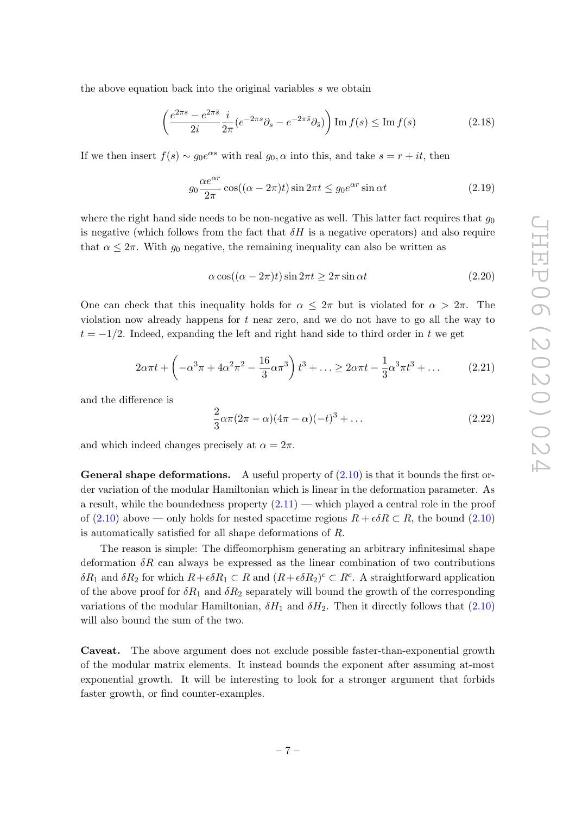the above equation back into the original variables s we obtain

$$
\left(\frac{e^{2\pi s} - e^{2\pi \bar{s}}}{2i} \frac{i}{2\pi} \left(e^{-2\pi s} \partial_s - e^{-2\pi \bar{s}} \partial_{\bar{s}}\right)\right) \operatorname{Im} f(s) \le \operatorname{Im} f(s) \tag{2.18}
$$

If we then insert  $f(s) \sim g_0 e^{\alpha s}$  with real  $g_0, \alpha$  into this, and take  $s = r + it$ , then

$$
g_0 \frac{\alpha e^{\alpha r}}{2\pi} \cos((\alpha - 2\pi)t) \sin 2\pi t \le g_0 e^{\alpha r} \sin \alpha t \tag{2.19}
$$

where the right hand side needs to be non-negative as well. This latter fact requires that  $g_0$ is negative (which follows from the fact that  $\delta H$  is a negative operators) and also require that  $\alpha \leq 2\pi$ . With  $g_0$  negative, the remaining inequality can also be written as

$$
\alpha \cos((\alpha - 2\pi)t) \sin 2\pi t \ge 2\pi \sin \alpha t \tag{2.20}
$$

One can check that this inequality holds for  $\alpha \leq 2\pi$  but is violated for  $\alpha > 2\pi$ . The violation now already happens for  $t$  near zero, and we do not have to go all the way to  $t = -1/2$ . Indeed, expanding the left and right hand side to third order in t we get

$$
2\alpha\pi t + \left(-\alpha^3\pi + 4\alpha^2\pi^2 - \frac{16}{3}\alpha\pi^3\right)t^3 + \dots \ge 2\alpha\pi t - \frac{1}{3}\alpha^3\pi t^3 + \dots \tag{2.21}
$$

and the difference is

$$
\frac{2}{3}\alpha\pi(2\pi-\alpha)(4\pi-\alpha)(-t)^3+\dots
$$
 (2.22)

and which indeed changes precisely at  $\alpha = 2\pi$ .

**General shape deformations.** A useful property of  $(2.10)$  is that it bounds the first order variation of the modular Hamiltonian which is linear in the deformation parameter. As a result, while the boundedness property  $(2.11)$  — which played a central role in the proof of [\(2.10\)](#page-5-2) above — only holds for nested spacetime regions  $R + \epsilon \delta R \subset R$ , the bound (2.10) is automatically satisfied for all shape deformations of R.

The reason is simple: The diffeomorphism generating an arbitrary infinitesimal shape deformation  $\delta R$  can always be expressed as the linear combination of two contributions  $\delta R_1$  and  $\delta R_2$  for which  $R + \epsilon \delta R_1 \subset R$  and  $(R + \epsilon \delta R_2)^c \subset R^c$ . A straightforward application of the above proof for  $\delta R_1$  and  $\delta R_2$  separately will bound the growth of the corresponding variations of the modular Hamiltonian,  $\delta H_1$  and  $\delta H_2$ . Then it directly follows that [\(2.10\)](#page-5-2) will also bound the sum of the two.

Caveat. The above argument does not exclude possible faster-than-exponential growth of the modular matrix elements. It instead bounds the exponent after assuming at-most exponential growth. It will be interesting to look for a stronger argument that forbids faster growth, or find counter-examples.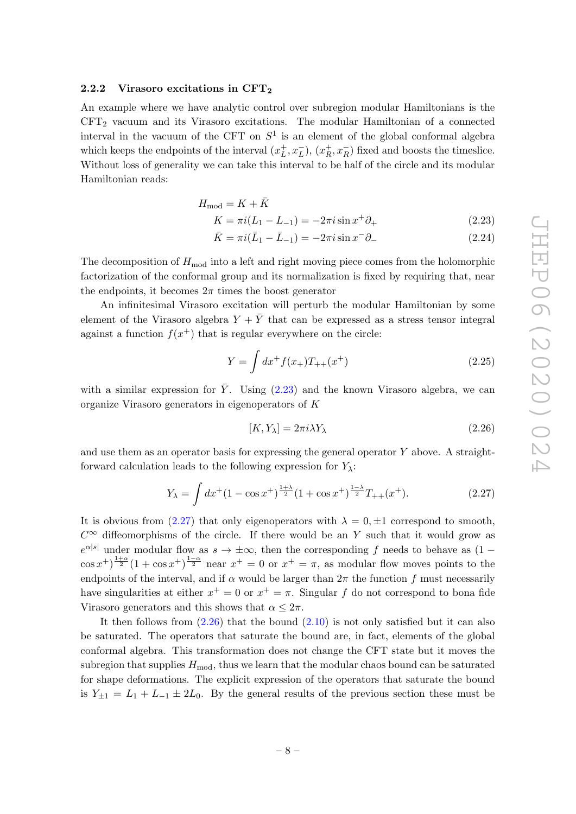#### <span id="page-9-0"></span>2.2.2 Virasoro excitations in CFT<sup>2</sup>

An example where we have analytic control over subregion modular Hamiltonians is the  $CFT<sub>2</sub>$  vacuum and its Virasoro excitations. The modular Hamiltonian of a connected interval in the vacuum of the CFT on  $S^1$  is an element of the global conformal algebra which keeps the endpoints of the interval  $(x<sub>L</sub><sup>+</sup>)$  $_{L}^{+},x_{L}^{-}), (x_{R}^{+})$  $\frac{+}{R}, x_R^-$  fixed and boosts the timeslice. Without loss of generality we can take this interval to be half of the circle and its modular Hamiltonian reads:

$$
H_{\text{mod}} = K + \bar{K}
$$

$$
K = \pi i (L_1 - L_{-1}) = -2\pi i \sin x^+ \partial_+ \tag{2.23}
$$

<span id="page-9-1"></span>
$$
\bar{K} = \pi i (\bar{L}_1 - \bar{L}_{-1}) = -2\pi i \sin x^{-} \partial_{-}
$$
\n(2.24)

The decomposition of  $H_{mod}$  into a left and right moving piece comes from the holomorphic factorization of the conformal group and its normalization is fixed by requiring that, near the endpoints, it becomes  $2\pi$  times the boost generator

An infinitesimal Virasoro excitation will perturb the modular Hamiltonian by some element of the Virasoro algebra  $Y + \overline{Y}$  that can be expressed as a stress tensor integral against a function  $f(x^+)$  that is regular everywhere on the circle:

$$
Y = \int dx^{+} f(x_{+}) T_{++}(x^{+})
$$
\n(2.25)

with a similar expression for  $\bar{Y}$ . Using [\(2.23\)](#page-9-1) and the known Virasoro algebra, we can organize Virasoro generators in eigenoperators of K

<span id="page-9-3"></span>
$$
[K, Y_{\lambda}] = 2\pi i \lambda Y_{\lambda} \tag{2.26}
$$

and use them as an operator basis for expressing the general operator  $Y$  above. A straightforward calculation leads to the following expression for  $Y_\lambda$ :

<span id="page-9-2"></span>
$$
Y_{\lambda} = \int dx^{+} (1 - \cos x^{+})^{\frac{1+\lambda}{2}} (1 + \cos x^{+})^{\frac{1-\lambda}{2}} T_{++}(x^{+}). \tag{2.27}
$$

It is obvious from [\(2.27\)](#page-9-2) that only eigenoperators with  $\lambda = 0, \pm 1$  correspond to smooth,  $C^{\infty}$  diffeomorphisms of the circle. If there would be an Y such that it would grow as  $e^{\alpha|s|}$  under modular flow as  $s \to \pm \infty$ , then the corresponding f needs to behave as  $(1 \cos x^+$  $\frac{1+\alpha}{2}(1+\cos x^+)^{\frac{1-\alpha}{2}}$  near  $x^+=0$  or  $x^+=\pi$ , as modular flow moves points to the endpoints of the interval, and if  $\alpha$  would be larger than  $2\pi$  the function f must necessarily have singularities at either  $x^+=0$  or  $x^+=\pi$ . Singular f do not correspond to bona fide Virasoro generators and this shows that  $\alpha \leq 2\pi$ .

It then follows from  $(2.26)$  that the bound  $(2.10)$  is not only satisfied but it can also be saturated. The operators that saturate the bound are, in fact, elements of the global conformal algebra. This transformation does not change the CFT state but it moves the subregion that supplies  $H_{\text{mod}}$ , thus we learn that the modular chaos bound can be saturated for shape deformations. The explicit expression of the operators that saturate the bound is  $Y_{\pm 1} = L_1 + L_{-1} \pm 2L_0$ . By the general results of the previous section these must be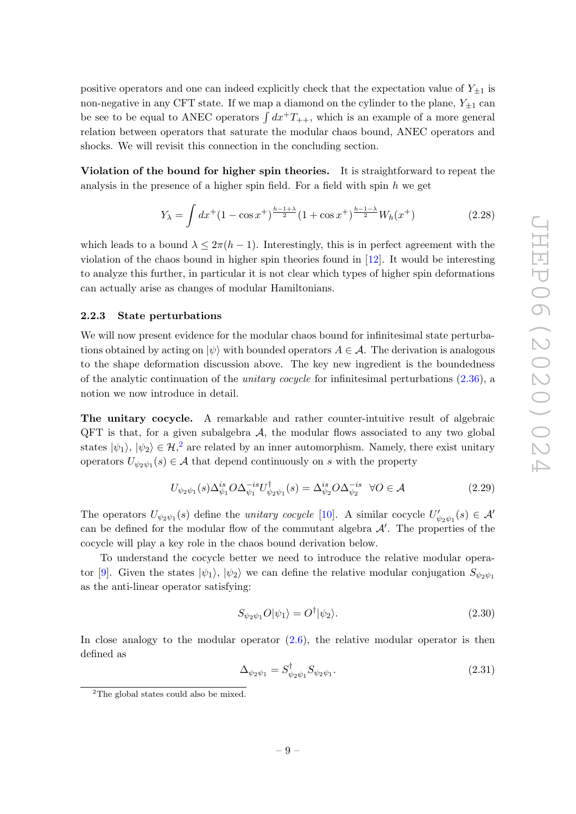positive operators and one can indeed explicitly check that the expectation value of  $Y_{\pm 1}$  is non-negative in any CFT state. If we map a diamond on the cylinder to the plane,  $Y_{+1}$  can be see to be equal to ANEC operators  $\int dx^+T_{++}$ , which is an example of a more general relation between operators that saturate the modular chaos bound, ANEC operators and shocks. We will revisit this connection in the concluding section.

Violation of the bound for higher spin theories. It is straightforward to repeat the analysis in the presence of a higher spin field. For a field with spin  $h$  we get

$$
Y_{\lambda} = \int dx^{+} (1 - \cos x^{+})^{\frac{h-1+\lambda}{2}} (1 + \cos x^{+})^{\frac{h-1-\lambda}{2}} W_{h}(x^{+})
$$
 (2.28)

which leads to a bound  $\lambda \leq 2\pi(h-1)$ . Interestingly, this is in perfect agreement with the violation of the chaos bound in higher spin theories found in [\[12\]](#page-23-9). It would be interesting to analyze this further, in particular it is not clear which types of higher spin deformations can actually arise as changes of modular Hamiltonians.

#### <span id="page-10-0"></span>2.2.3 State perturbations

We will now present evidence for the modular chaos bound for infinitesimal state perturbations obtained by acting on  $|\psi\rangle$  with bounded operators  $A \in \mathcal{A}$ . The derivation is analogous to the shape deformation discussion above. The key new ingredient is the boundedness of the analytic continuation of the *unitary cocycle* for infinitesimal perturbations  $(2.36)$ , a notion we now introduce in detail.

The unitary cocycle. A remarkable and rather counter-intuitive result of algebraic  $QFT$  is that, for a given subalgebra  $A$ , the modular flows associated to any two global states  $|\psi_1\rangle, |\psi_2\rangle \in \mathcal{H}^2$  $|\psi_1\rangle, |\psi_2\rangle \in \mathcal{H}^2$  $|\psi_1\rangle, |\psi_2\rangle \in \mathcal{H}^2$ , are related by an inner automorphism. Namely, there exist unitary operators  $U_{\psi_2\psi_1}(s) \in \mathcal{A}$  that depend continuously on s with the property

<span id="page-10-2"></span>
$$
U_{\psi_2\psi_1}(s)\Delta_{\psi_1}^{is}O\Delta_{\psi_1}^{-is}U_{\psi_2\psi_1}^{\dagger}(s) = \Delta_{\psi_2}^{is}O\Delta_{\psi_2}^{-is} \quad \forall O \in \mathcal{A}
$$
\n(2.29)

The operators  $U_{\psi_2\psi_1}(s)$  define the *unitary cocycle* [\[10\]](#page-23-7). A similar cocycle  $U'_{\psi_2\psi_1}(s) \in \mathcal{A}'$ can be defined for the modular flow of the commutant algebra  $\mathcal{A}'$ . The properties of the cocycle will play a key role in the chaos bound derivation below.

To understand the cocycle better we need to introduce the relative modular opera-tor [\[9\]](#page-23-6). Given the states  $|\psi_1\rangle$ ,  $|\psi_2\rangle$  we can define the relative modular conjugation  $S_{\psi_2\psi_1}$ as the anti-linear operator satisfying:

$$
S_{\psi_2\psi_1}O|\psi_1\rangle = O^{\dagger}|\psi_2\rangle. \tag{2.30}
$$

In close analogy to the modular operator  $(2.6)$ , the relative modular operator is then defined as

$$
\Delta_{\psi_2\psi_1} = S^{\dagger}_{\psi_2\psi_1} S_{\psi_2\psi_1}.
$$
\n(2.31)

<span id="page-10-1"></span><sup>&</sup>lt;sup>2</sup>The global states could also be mixed.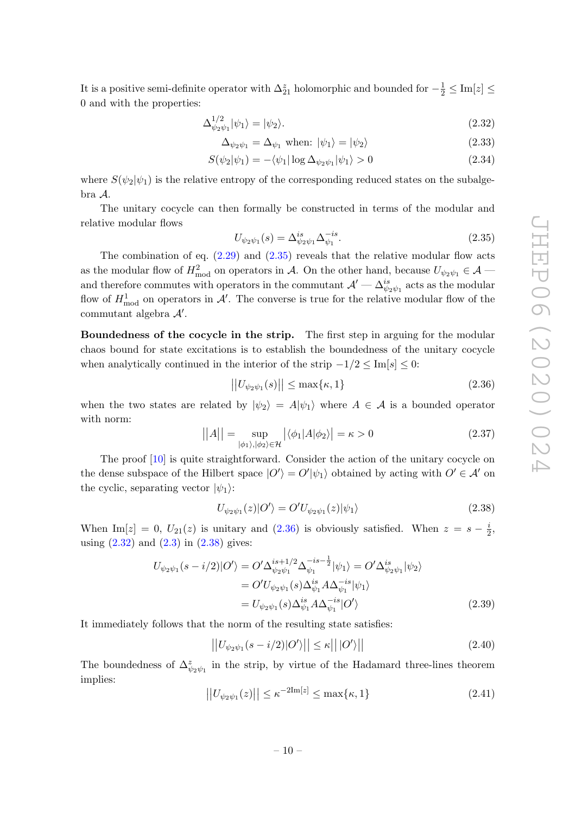It is a positive semi-definite operator with  $\Delta_{21}^z$  holomorphic and bounded for  $-\frac{1}{2} \leq \text{Im}[z] \leq$ 0 and with the properties:

$$
\Delta_{\psi_2\psi_1}^{1/2}|\psi_1\rangle = |\psi_2\rangle. \tag{2.32}
$$

<span id="page-11-4"></span><span id="page-11-2"></span>
$$
\Delta_{\psi_2 \psi_1} = \Delta_{\psi_1} \text{ when: } |\psi_1\rangle = |\psi_2\rangle \tag{2.33}
$$

$$
S(\psi_2|\psi_1) = -\langle \psi_1 | \log \Delta_{\psi_2 \psi_1} | \psi_1 \rangle > 0 \tag{2.34}
$$

where  $S(\psi_2|\psi_1)$  is the relative entropy of the corresponding reduced states on the subalgebra A.

The unitary cocycle can then formally be constructed in terms of the modular and relative modular flows

<span id="page-11-1"></span>
$$
U_{\psi_2\psi_1}(s) = \Delta_{\psi_2\psi_1}^{is} \Delta_{\psi_1}^{-is}.
$$
\n(2.35)

The combination of eq.  $(2.29)$  and  $(2.35)$  reveals that the relative modular flow acts as the modular flow of  $H_{\text{mod}}^2$  on operators in A. On the other hand, because  $U_{\psi_2\psi_1} \in \mathcal{A}$ and therefore commutes with operators in the commutant  $\mathcal{A}' - \Delta_{\psi_2\psi_1}^{is}$  acts as the modular flow of  $H_{\text{mod}}^1$  on operators in  $\mathcal{A}'$ . The converse is true for the relative modular flow of the commutant algebra  $A'$ .

Boundedness of the cocycle in the strip. The first step in arguing for the modular chaos bound for state excitations is to establish the boundedness of the unitary cocycle when analytically continued in the interior of the strip  $-1/2 \leq \text{Im}[s] \leq 0$ :

<span id="page-11-0"></span>
$$
||U_{\psi_2\psi_1}(s)|| \le \max\{\kappa, 1\} \tag{2.36}
$$

when the two states are related by  $|\psi_2\rangle = A|\psi_1\rangle$  where  $A \in \mathcal{A}$  is a bounded operator with norm:

$$
||A|| = \sup_{|\phi_1\rangle, |\phi_2\rangle \in \mathcal{H}} |\langle \phi_1 | A | \phi_2 \rangle| = \kappa > 0
$$
\n(2.37)

The proof [\[10\]](#page-23-7) is quite straightforward. Consider the action of the unitary cocycle on the dense subspace of the Hilbert space  $|O'\rangle = O'|\psi_1\rangle$  obtained by acting with  $O' \in \mathcal{A}'$  on the cyclic, separating vector  $|\psi_1\rangle$ :

<span id="page-11-3"></span>
$$
U_{\psi_2\psi_1}(z)|O'\rangle = O'U_{\psi_2\psi_1}(z)|\psi_1\rangle
$$
\n(2.38)

When Im[z] = 0,  $U_{21}(z)$  is unitary and  $(2.36)$  is obviously satisfied. When  $z = s - \frac{i}{2}$  $\frac{i}{2}$ using  $(2.32)$  and  $(2.3)$  in  $(2.38)$  gives:

$$
U_{\psi_2\psi_1}(s - i/2)|O'\rangle = O'\Delta_{\psi_2\psi_1}^{is + 1/2} \Delta_{\psi_1}^{-is - \frac{1}{2}} |\psi_1\rangle = O'\Delta_{\psi_2\psi_1}^{is} |\psi_2\rangle
$$
  
=  $O'U_{\psi_2\psi_1}(s) \Delta_{\psi_1}^{is} A \Delta_{\psi_1}^{-is} |\psi_1\rangle$   
=  $U_{\psi_2\psi_1}(s) \Delta_{\psi_1}^{is} A \Delta_{\psi_1}^{-is} |O'\rangle$  (2.39)

It immediately follows that the norm of the resulting state satisfies:

$$
\left| \left| U_{\psi_2 \psi_1}(s - i/2) |O' \rangle \right| \right| \le \kappa ||O' \rangle || \tag{2.40}
$$

The boundedness of  $\Delta_{\psi_2\psi_1}^z$  in the strip, by virtue of the Hadamard three-lines theorem implies:

$$
||U_{\psi_2\psi_1}(z)|| \le \kappa^{-2\text{Im}[z]} \le \max\{\kappa, 1\} \tag{2.41}
$$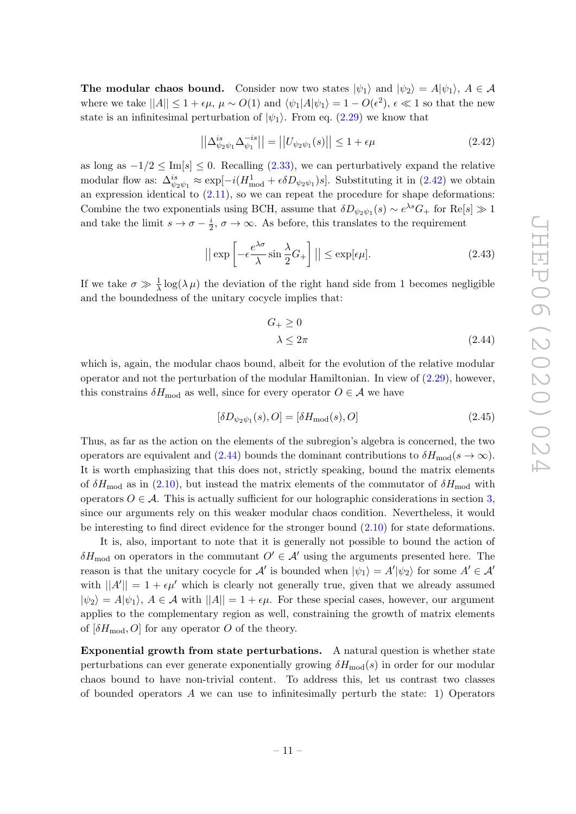The modular chaos bound. Consider now two states  $|\psi_1\rangle$  and  $|\psi_2\rangle = A|\psi_1\rangle$ ,  $A \in \mathcal{A}$ where we take  $||A|| \leq 1 + \epsilon \mu$ ,  $\mu \sim O(1)$  and  $\langle \psi_1 | A | \psi_1 \rangle = 1 - O(\epsilon^2)$ ,  $\epsilon \ll 1$  so that the new state is an infinitesimal perturbation of  $|\psi_1\rangle$ . From eq. [\(2.29\)](#page-10-2) we know that

<span id="page-12-0"></span>
$$
\left| \left| \Delta_{\psi_2 \psi_1}^{is} \Delta_{\psi_1}^{-is} \right| \right| = \left| \left| U_{\psi_2 \psi_1}(s) \right| \right| \le 1 + \epsilon \mu \tag{2.42}
$$

as long as  $-1/2 \leq \text{Im}[s] \leq 0$ . Recalling  $(2.33)$ , we can perturbatively expand the relative modular flow as:  $\Delta_{\psi_2\psi_1}^{is} \approx \exp[-i(H_{\text{mod}}^1 + \epsilon \delta D_{\psi_2\psi_1})s]$ . Substituting it in [\(2.42\)](#page-12-0) we obtain an expression identical to  $(2.11)$ , so we can repeat the procedure for shape deformations: Combine the two exponentials using BCH, assume that  $\delta D_{\psi_2 \psi_1}(s) \sim e^{\lambda s} G_+$  for  $\text{Re}[s] \gg 1$ and take the limit  $s \to \sigma - \frac{i}{2}$  $\frac{i}{2}$ ,  $\sigma \to \infty$ . As before, this translates to the requirement

<span id="page-12-2"></span>
$$
\left| \left| \exp \left[ -\epsilon \frac{e^{\lambda \sigma}}{\lambda} \sin \frac{\lambda}{2} G_+ \right] \right| \right| \le \exp[\epsilon \mu]. \tag{2.43}
$$

If we take  $\sigma \gg \frac{1}{\lambda} \log(\lambda \mu)$  the deviation of the right hand side from 1 becomes negligible and the boundedness of the unitary cocycle implies that:

<span id="page-12-1"></span>
$$
G_+ \ge 0
$$
  
  $\lambda \le 2\pi$  (2.44)

which is, again, the modular chaos bound, albeit for the evolution of the relative modular operator and not the perturbation of the modular Hamiltonian. In view of [\(2.29\)](#page-10-2), however, this constrains  $\delta H_{\text{mod}}$  as well, since for every operator  $O \in \mathcal{A}$  we have

$$
[\delta D_{\psi_2\psi_1}(s), O] = [\delta H_{\text{mod}}(s), O] \tag{2.45}
$$

Thus, as far as the action on the elements of the subregion's algebra is concerned, the two operators are equivalent and [\(2.44\)](#page-12-1) bounds the dominant contributions to  $\delta H_{\text{mod}}(s \to \infty)$ . It is worth emphasizing that this does not, strictly speaking, bound the matrix elements of  $\delta H_{\text{mod}}$  as in [\(2.10\)](#page-5-2), but instead the matrix elements of the commutator of  $\delta H_{\text{mod}}$  with operators  $O \in \mathcal{A}$ . This is actually sufficient for our holographic considerations in section [3,](#page-14-0) since our arguments rely on this weaker modular chaos condition. Nevertheless, it would be interesting to find direct evidence for the stronger bound [\(2.10\)](#page-5-2) for state deformations.

It is, also, important to note that it is generally not possible to bound the action of  $\delta H_{\text{mod}}$  on operators in the commutant  $O' \in \mathcal{A}'$  using the arguments presented here. The reason is that the unitary cocycle for  $\mathcal{A}'$  is bounded when  $|\psi_1\rangle = A'|\psi_2\rangle$  for some  $A' \in \mathcal{A}'$ with  $||A'|| = 1 + \epsilon \mu'$  which is clearly not generally true, given that we already assumed  $|\psi_2\rangle = A|\psi_1\rangle$ ,  $A \in \mathcal{A}$  with  $||A|| = 1 + \epsilon \mu$ . For these special cases, however, our argument applies to the complementary region as well, constraining the growth of matrix elements of  $[\delta H_{\text{mod}}, O]$  for any operator O of the theory.

Exponential growth from state perturbations. A natural question is whether state perturbations can ever generate exponentially growing  $\delta H_{\text{mod}}(s)$  in order for our modular chaos bound to have non-trivial content. To address this, let us contrast two classes of bounded operators  $\tilde{A}$  we can use to infinitesimally perturb the state: 1) Operators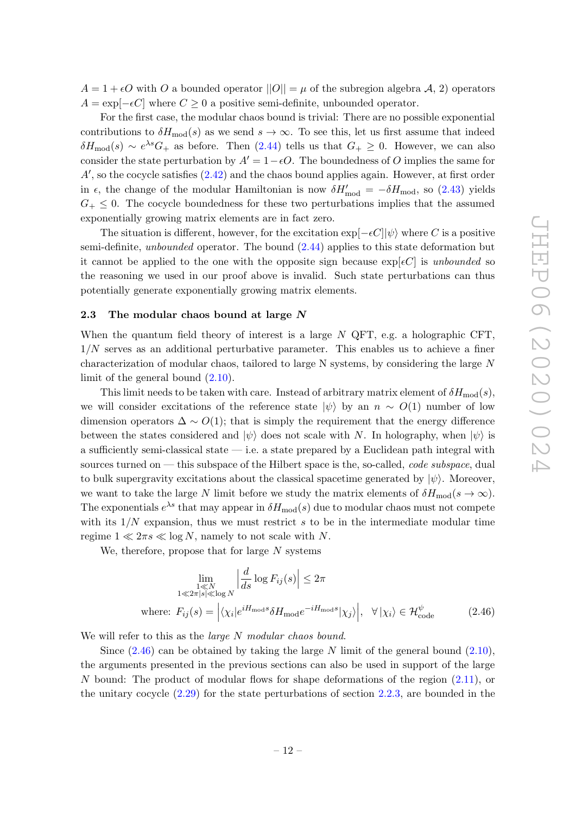$A = 1 + \epsilon O$  with O a bounded operator  $||O|| = \mu$  of the subregion algebra A, 2) operators  $A = \exp[-\epsilon C]$  where  $C \geq 0$  a positive semi-definite, unbounded operator.

For the first case, the modular chaos bound is trivial: There are no possible exponential contributions to  $\delta H_{\text{mod}}(s)$  as we send  $s \to \infty$ . To see this, let us first assume that indeed  $\delta H_{\text{mod}}(s) \sim e^{\lambda s} G_+$  as before. Then  $(2.44)$  tells us that  $G_+ \geq 0$ . However, we can also consider the state perturbation by  $A' = 1-\epsilon O$ . The boundedness of O implies the same for  $A'$ , so the cocycle satisfies  $(2.42)$  and the chaos bound applies again. However, at first order in  $\epsilon$ , the change of the modular Hamiltonian is now  $\delta H'_{\text{mod}} = -\delta H_{\text{mod}}$ , so [\(2.43\)](#page-12-2) yields  $G_{+} \leq 0$ . The cocycle boundedness for these two perturbations implies that the assumed exponentially growing matrix elements are in fact zero.

The situation is different, however, for the excitation  $\exp[-\epsilon C] |\psi\rangle$  where C is a positive semi-definite, unbounded operator. The bound [\(2.44\)](#page-12-1) applies to this state deformation but it cannot be applied to the one with the opposite sign because  $\exp[\epsilon C]$  is unbounded so the reasoning we used in our proof above is invalid. Such state perturbations can thus potentially generate exponentially growing matrix elements.

### <span id="page-13-0"></span>2.3 The modular chaos bound at large  $N$

When the quantum field theory of interest is a large  $N$  QFT, e.g. a holographic CFT,  $1/N$  serves as an additional perturbative parameter. This enables us to achieve a finer characterization of modular chaos, tailored to large N systems, by considering the large N limit of the general bound [\(2.10\)](#page-5-2).

This limit needs to be taken with care. Instead of arbitrary matrix element of  $\delta H_{\text{mod}}(s)$ , we will consider excitations of the reference state  $|\psi\rangle$  by an  $n \sim O(1)$  number of low dimension operators  $\Delta \sim O(1)$ ; that is simply the requirement that the energy difference between the states considered and  $|\psi\rangle$  does not scale with N. In holography, when  $|\psi\rangle$  is a sufficiently semi-classical state  $\frac{d}{dx}$  i.e. a state prepared by a Euclidean path integral with sources turned on — this subspace of the Hilbert space is the, so-called, *code subspace*, dual to bulk supergravity excitations about the classical spacetime generated by  $|\psi\rangle$ . Moreover, we want to take the large N limit before we study the matrix elements of  $\delta H_{\text{mod}}(s \to \infty)$ . The exponentials  $e^{\lambda s}$  that may appear in  $\delta H_{\rm mod}(s)$  due to modular chaos must not compete with its  $1/N$  expansion, thus we must restrict s to be in the intermediate modular time regime  $1 \ll 2\pi s \ll \log N$ , namely to not scale with N.

We, therefore, propose that for large  $N$  systems

<span id="page-13-1"></span>
$$
\lim_{\substack{1 \leqslant N \\ 1 \leqslant 2\pi|s| \leqslant \log N}} \left| \frac{d}{ds} \log F_{ij}(s) \right| \leq 2\pi
$$
\nwhere:  $F_{ij}(s) = \left| \langle \chi_i | e^{i H_{\text{mod}} s} \delta H_{\text{mod}} e^{-i H_{\text{mod}} s} | \chi_j \rangle \right|, \quad \forall | \chi_i \rangle \in \mathcal{H}_{\text{code}}^{\psi}$ 

\n(2.46)

We will refer to this as the *large N modular chaos bound*.

Since  $(2.46)$  can be obtained by taking the large N limit of the general bound  $(2.10)$ , the arguments presented in the previous sections can also be used in support of the large N bound: The product of modular flows for shape deformations of the region [\(2.11\)](#page-6-1), or the unitary cocycle [\(2.29\)](#page-10-2) for the state perturbations of section [2.2.3,](#page-10-0) are bounded in the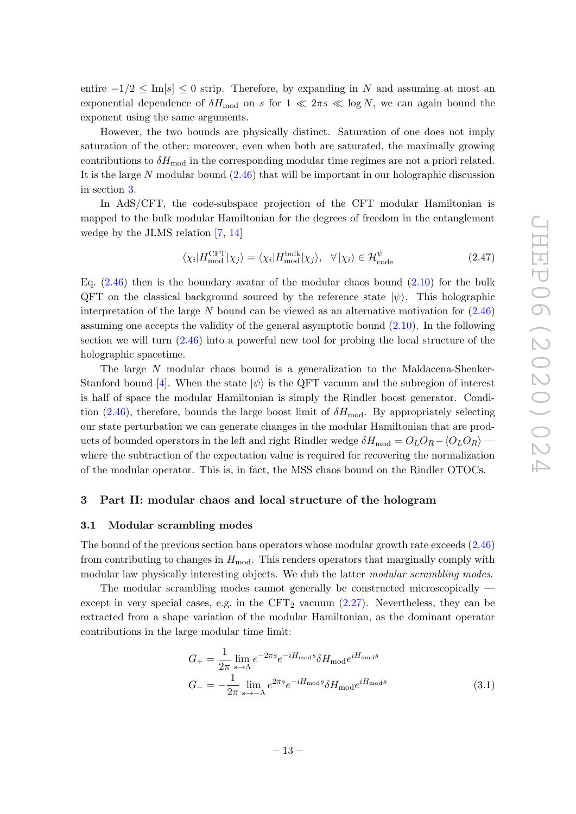entire  $-1/2 \leq \text{Im}[s] \leq 0$  strip. Therefore, by expanding in N and assuming at most an exponential dependence of  $\delta H_{\text{mod}}$  on s for  $1 \ll 2\pi s \ll \log N$ , we can again bound the exponent using the same arguments.

However, the two bounds are physically distinct. Saturation of one does not imply saturation of the other; moreover, even when both are saturated, the maximally growing contributions to  $\delta H_{\text{mod}}$  in the corresponding modular time regimes are not a priori related. It is the large N modular bound  $(2.46)$  that will be important in our holographic discussion in section [3.](#page-14-0)

In AdS/CFT, the code-subspace projection of the CFT modular Hamiltonian is mapped to the bulk modular Hamiltonian for the degrees of freedom in the entanglement wedge by the JLMS relation [\[7,](#page-23-4) [14\]](#page-23-10)

$$
\langle \chi_i | H_{\text{mod}}^{\text{CFT}} | \chi_j \rangle = \langle \chi_i | H_{\text{mod}}^{\text{bulk}} | \chi_j \rangle, \quad \forall \, |\chi_i \rangle \in \mathcal{H}_{\text{code}}^{\psi}
$$
\n(2.47)

Eq.  $(2.46)$  then is the boundary avatar of the modular chaos bound  $(2.10)$  for the bulk QFT on the classical background sourced by the reference state  $|\psi\rangle$ . This holographic interpretation of the large N bound can be viewed as an alternative motivation for  $(2.46)$ assuming one accepts the validity of the general asymptotic bound  $(2.10)$ . In the following section we will turn  $(2.46)$  into a powerful new tool for probing the local structure of the holographic spacetime.

The large N modular chaos bound is a generalization to the Maldacena-Shenker-Stanford bound [\[4\]](#page-23-1). When the state  $|\psi\rangle$  is the QFT vacuum and the subregion of interest is half of space the modular Hamiltonian is simply the Rindler boost generator. Condi-tion [\(2.46\)](#page-13-1), therefore, bounds the large boost limit of  $\delta H_{\text{mod}}$ . By appropriately selecting our state perturbation we can generate changes in the modular Hamiltonian that are products of bounded operators in the left and right Rindler wedge  $\delta H_{\text{mod}} = O_L O_R - \langle O_L O_R \rangle$  where the subtraction of the expectation value is required for recovering the normalization of the modular operator. This is, in fact, the MSS chaos bound on the Rindler OTOCs.

#### <span id="page-14-0"></span>3 Part II: modular chaos and local structure of the hologram

#### <span id="page-14-1"></span>3.1 Modular scrambling modes

The bound of the previous section bans operators whose modular growth rate exceeds [\(2.46\)](#page-13-1) from contributing to changes in  $H_{\text{mod}}$ . This renders operators that marginally comply with modular law physically interesting objects. We dub the latter modular scrambling modes.

The modular scrambling modes cannot generally be constructed microscopically except in very special cases, e.g. in the  $CFT_2$  vacuum [\(2.27\)](#page-9-2). Nevertheless, they can be extracted from a shape variation of the modular Hamiltonian, as the dominant operator contributions in the large modular time limit:

<span id="page-14-2"></span>
$$
G_{+} = \frac{1}{2\pi} \lim_{s \to \Lambda} e^{-2\pi s} e^{-iH_{\text{mod}}s} \delta H_{\text{mod}} e^{iH_{\text{mod}}s}
$$

$$
G_{-} = -\frac{1}{2\pi} \lim_{s \to -\Lambda} e^{2\pi s} e^{-iH_{\text{mod}}s} \delta H_{\text{mod}} e^{iH_{\text{mod}}s}
$$
(3.1)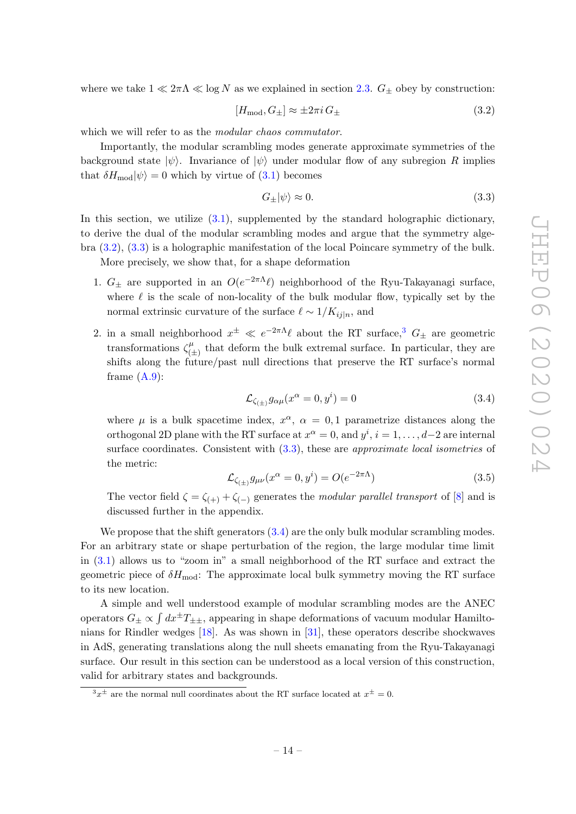where we take  $1 \ll 2\pi\Lambda \ll \log N$  as we explained in section [2.3.](#page-13-0)  $G_{\pm}$  obey by construction:

<span id="page-15-0"></span>
$$
[H_{\text{mod}}, G_{\pm}] \approx \pm 2\pi i \, G_{\pm} \tag{3.2}
$$

which we will refer to as the *modular chaos commutator*.

Importantly, the modular scrambling modes generate approximate symmetries of the background state  $|\psi\rangle$ . Invariance of  $|\psi\rangle$  under modular flow of any subregion R implies that  $\delta H_{\text{mod}}|\psi\rangle = 0$  which by virtue of  $(3.1)$  becomes

<span id="page-15-1"></span>
$$
G_{\pm}|\psi\rangle \approx 0. \tag{3.3}
$$

In this section, we utilize  $(3.1)$ , supplemented by the standard holographic dictionary, to derive the dual of the modular scrambling modes and argue that the symmetry algebra [\(3.2\)](#page-15-0), [\(3.3\)](#page-15-1) is a holographic manifestation of the local Poincare symmetry of the bulk.

More precisely, we show that, for a shape deformation

- 1.  $G_{\pm}$  are supported in an  $O(e^{-2\pi\Lambda}\ell)$  neighborhood of the Ryu-Takayanagi surface, where  $\ell$  is the scale of non-locality of the bulk modular flow, typically set by the normal extrinsic curvature of the surface  $\ell \sim 1/K_{i,j|n}$ , and
- 2. in a small neighborhood  $x^{\pm} \ll e^{-2\pi\Lambda} \ell$  about the RT surface,<sup>[3](#page-15-2)</sup>  $G_{\pm}$  are geometric transformations  $\zeta_{\alpha}^{\mu}$  $\binom{\mu}{(\pm)}$  that deform the bulk extremal surface. In particular, they are shifts along the future/past null directions that preserve the RT surface's normal frame  $(A.9)$ :

<span id="page-15-3"></span>
$$
\mathcal{L}_{\zeta_{(\pm)}} g_{\alpha\mu}(x^{\alpha} = 0, y^{i}) = 0 \qquad (3.4)
$$

where  $\mu$  is a bulk spacetime index,  $x^{\alpha}$ ,  $\alpha = 0, 1$  parametrize distances along the orthogonal 2D plane with the RT surface at  $x^{\alpha} = 0$ , and  $y^{i}$ ,  $i = 1, ..., d-2$  are internal surface coordinates. Consistent with  $(3.3)$ , these are *approximate local isometries* of the metric:

<span id="page-15-4"></span>
$$
\mathcal{L}_{\zeta_{(\pm)}} g_{\mu\nu}(x^{\alpha} = 0, y^{i}) = O(e^{-2\pi\Lambda})
$$
\n(3.5)

The vector field  $\zeta = \zeta_{(+)} + \zeta_{(-)}$  generates the modular parallel transport of [\[8\]](#page-23-5) and is discussed further in the appendix.

We propose that the shift generators  $(3.4)$  are the only bulk modular scrambling modes. For an arbitrary state or shape perturbation of the region, the large modular time limit in [\(3.1\)](#page-14-2) allows us to "zoom in" a small neighborhood of the RT surface and extract the geometric piece of  $\delta H_{\text{mod}}$ : The approximate local bulk symmetry moving the RT surface to its new location.

A simple and well understood example of modular scrambling modes are the ANEC operators  $G_{\pm} \propto \int dx^{\pm}T_{\pm\pm}$ , appearing in shape deformations of vacuum modular Hamiltonians for Rindler wedges [\[18\]](#page-23-11). As was shown in [\[31\]](#page-24-0), these operators describe shockwaves in AdS, generating translations along the null sheets emanating from the Ryu-Takayanagi surface. Our result in this section can be understood as a local version of this construction, valid for arbitrary states and backgrounds.

<span id="page-15-2"></span> $3x^{\pm}$  are the normal null coordinates about the RT surface located at  $x^{\pm} = 0$ .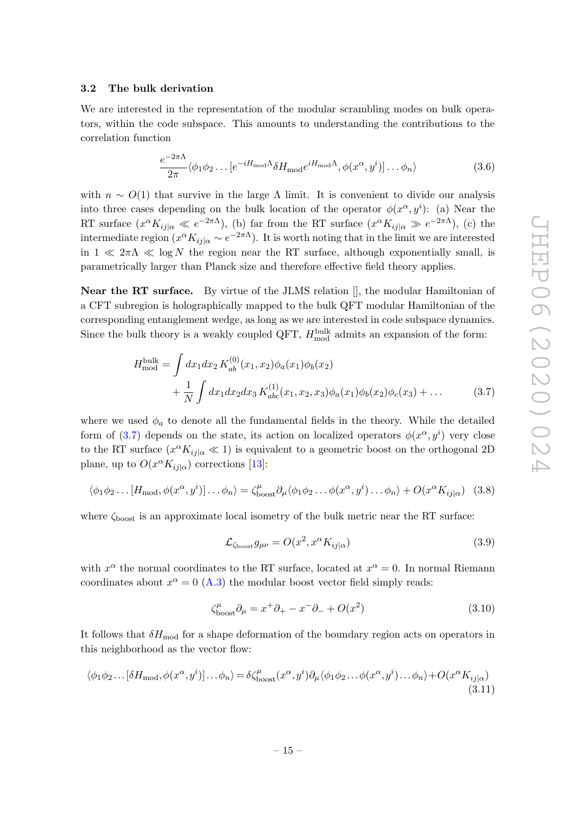#### <span id="page-16-0"></span>3.2 The bulk derivation

We are interested in the representation of the modular scrambling modes on bulk operators, within the code subspace. This amounts to understanding the contributions to the correlation function

<span id="page-16-4"></span>
$$
\frac{e^{-2\pi\Lambda}}{2\pi} \langle \phi_1 \phi_2 \dots [e^{-iH_{\text{mod}}\Lambda} \delta H_{\text{mod}} e^{iH_{\text{mod}}\Lambda}, \phi(x^{\alpha}, y^i)] \dots \phi_n \rangle \tag{3.6}
$$

with  $n \sim O(1)$  that survive in the large  $\Lambda$  limit. It is convenient to divide our analysis into three cases depending on the bulk location of the operator  $\phi(x^{\alpha}, y^{i})$ : (a) Near the RT surface  $(x^{\alpha} K_{ij|\alpha} \ll e^{-2\pi\Lambda})$ , (b) far from the RT surface  $(x^{\alpha} K_{ij|\alpha} \gg e^{-2\pi\Lambda})$ , (c) the intermediate region  $(x^{\alpha} K_{ij|\alpha} \sim e^{-2\pi \Lambda})$ . It is worth noting that in the limit we are interested in  $1 \ll 2\pi\Lambda \ll \log N$  the region near the RT surface, although exponentially small, is parametrically larger than Planck size and therefore effective field theory applies.

**Near the RT surface.** By virtue of the JLMS relation  $\parallel$ , the modular Hamiltonian of a CFT subregion is holographically mapped to the bulk QFT modular Hamiltonian of the corresponding entanglement wedge, as long as we are interested in code subspace dynamics. Since the bulk theory is a weakly coupled QFT,  $H_{\text{mod}}^{\text{bulk}}$  admits an expansion of the form:

$$
H_{\text{mod}}^{\text{bulk}} = \int dx_1 dx_2 K_{ab}^{(0)}(x_1, x_2) \phi_a(x_1) \phi_b(x_2)
$$
  
+ 
$$
\frac{1}{N} \int dx_1 dx_2 dx_3 K_{abc}^{(1)}(x_1, x_2, x_3) \phi_a(x_1) \phi_b(x_2) \phi_c(x_3) + \dots
$$
(3.7)

where we used  $\phi_a$  to denote all the fundamental fields in the theory. While the detailed form of [\(3.7\)](#page-16-1) depends on the state, its action on localized operators  $\phi(x^{\alpha}, y^{i})$  very close to the RT surface  $(x^{\alpha} K_{ij|\alpha} \ll 1)$  is equivalent to a geometric boost on the orthogonal 2D plane, up to  $O(x^{\alpha} K_{ij|\alpha})$  corrections [\[13\]](#page-23-12):

<span id="page-16-3"></span>
$$
\langle \phi_1 \phi_2 \dots [H_{\text{mod}}, \phi(x^{\alpha}, y^i)] \dots \phi_n \rangle = \zeta_{\text{boost}}^{\mu} \partial_{\mu} \langle \phi_1 \phi_2 \dots \phi(x^{\alpha}, y^i) \dots \phi_n \rangle + O(x^{\alpha} K_{ij|\alpha}) \quad (3.8)
$$

where  $\zeta_{\text{boost}}$  is an approximate local isometry of the bulk metric near the RT surface:

<span id="page-16-1"></span>
$$
\mathcal{L}_{\zeta_{\text{boost}}} g_{\mu\nu} = O(x^2, x^\alpha K_{ij|\alpha}) \tag{3.9}
$$

with  $x^{\alpha}$  the normal coordinates to the RT surface, located at  $x^{\alpha} = 0$ . In normal Riemann coordinates about  $x^{\alpha} = 0$  [\(A.3\)](#page-21-1) the modular boost vector field simply reads:

<span id="page-16-2"></span>
$$
\zeta_{\text{boost}}^{\mu} \partial_{\mu} = x^{+} \partial_{+} - x^{-} \partial_{-} + O(x^{2}) \tag{3.10}
$$

It follows that  $\delta H_{\text{mod}}$  for a shape deformation of the boundary region acts on operators in this neighborhood as the vector flow:

$$
\langle \phi_1 \phi_2 \dots [\delta H_{\text{mod}}, \phi(x^{\alpha}, y^i)] \dots \phi_n \rangle = \delta \zeta_{\text{boost}}^{\mu}(x^{\alpha}, y^i) \partial_{\mu} \langle \phi_1 \phi_2 \dots \phi(x^{\alpha}, y^i) \dots \phi_n \rangle + O(x^{\alpha} K_{ij|\alpha})
$$
\n(3.11)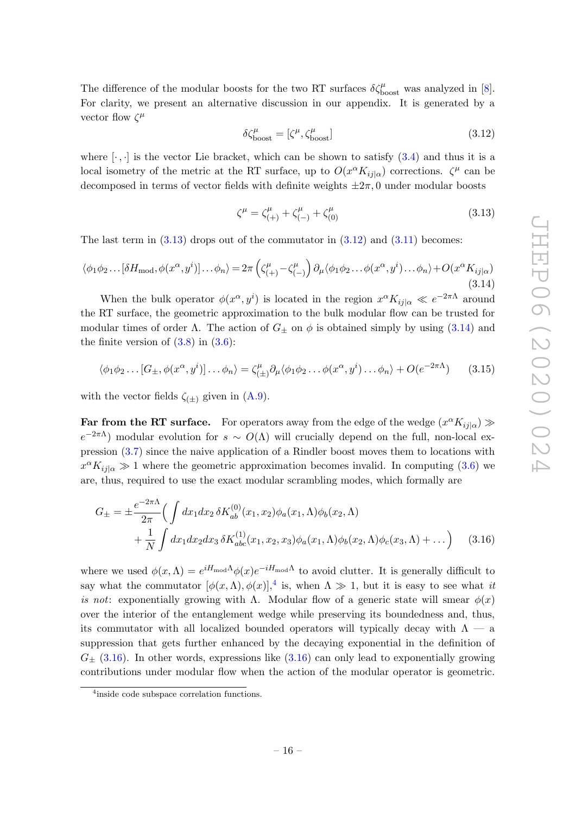The difference of the modular boosts for the two RT surfaces  $\delta \zeta_{\rm boost}^{\mu}$  was analyzed in [\[8\]](#page-23-5). For clarity, we present an alternative discussion in our appendix. It is generated by a vector flow  $\zeta^{\mu}$ 

<span id="page-17-1"></span>
$$
\delta \zeta_{\text{boost}}^{\mu} = [\zeta^{\mu}, \zeta_{\text{boost}}^{\mu}] \tag{3.12}
$$

where  $[\cdot, \cdot]$  is the vector Lie bracket, which can be shown to satisfy  $(3.4)$  and thus it is a local isometry of the metric at the RT surface, up to  $O(x^{\alpha} K_{ij}{}_{|\alpha})$  corrections.  $\zeta^{\mu}$  can be decomposed in terms of vector fields with definite weights  $\pm 2\pi$ , 0 under modular boosts

<span id="page-17-0"></span>
$$
\zeta^{\mu} = \zeta_{(+)}^{\mu} + \zeta_{(-)}^{\mu} + \zeta_{(0)}^{\mu} \tag{3.13}
$$

The last term in  $(3.13)$  drops out of the commutator in  $(3.12)$  and  $(3.11)$  becomes:

<span id="page-17-2"></span>
$$
\langle \phi_1 \phi_2 \dots [\delta H_{\text{mod}}, \phi(x^{\alpha}, y^i)] \dots \phi_n \rangle = 2\pi \left( \zeta_{(+)}^{\mu} - \zeta_{(-)}^{\mu} \right) \partial_{\mu} \langle \phi_1 \phi_2 \dots \phi(x^{\alpha}, y^i) \dots \phi_n \rangle + O(x^{\alpha} K_{ij|\alpha})
$$
\n(3.14)

When the bulk operator  $\phi(x^{\alpha}, y^i)$  is located in the region  $x^{\alpha} K_{ij} |_{\alpha} \ll e^{-2\pi \Lambda}$  around the RT surface, the geometric approximation to the bulk modular flow can be trusted for modular times of order  $\Lambda$ . The action of  $G_{\pm}$  on  $\phi$  is obtained simply by using [\(3.14\)](#page-17-2) and the finite version of  $(3.8)$  in  $(3.6)$ :

<span id="page-17-5"></span>
$$
\langle \phi_1 \phi_2 \dots [G_{\pm}, \phi(x^{\alpha}, y^i)] \dots \phi_n \rangle = \zeta_{(\pm)}^{\mu} \partial_{\mu} \langle \phi_1 \phi_2 \dots \phi(x^{\alpha}, y^i) \dots \phi_n \rangle + O(e^{-2\pi \Lambda}) \tag{3.15}
$$

with the vector fields  $\zeta_{(\pm)}$  given in  $(A.9)$ .

Far from the RT surface. For operators away from the edge of the wedge  $(x^{\alpha} K_{ij}{}_{|\alpha}) \gg$  $e^{-2\pi\Lambda}$  modular evolution for  $s \sim O(\Lambda)$  will crucially depend on the full, non-local expression [\(3.7\)](#page-16-1) since the naive application of a Rindler boost moves them to locations with  $x^{\alpha} K_{ij|\alpha} \gg 1$  where the geometric approximation becomes invalid. In computing [\(3.6\)](#page-16-4) we are, thus, required to use the exact modular scrambling modes, which formally are

<span id="page-17-4"></span>
$$
G_{\pm} = \pm \frac{e^{-2\pi\Lambda}}{2\pi} \Big( \int dx_1 dx_2 \, \delta K_{ab}^{(0)}(x_1, x_2) \phi_a(x_1, \Lambda) \phi_b(x_2, \Lambda) + \frac{1}{N} \int dx_1 dx_2 dx_3 \, \delta K_{abc}^{(1)}(x_1, x_2, x_3) \phi_a(x_1, \Lambda) \phi_b(x_2, \Lambda) \phi_c(x_3, \Lambda) + \dots \Big) \tag{3.16}
$$

where we used  $\phi(x,\Lambda) = e^{iH_{\text{mod}}\Lambda}\phi(x)e^{-iH_{\text{mod}}\Lambda}$  to avoid clutter. It is generally difficult to say what the commutator  $[\phi(x,\Lambda), \phi(x)]$ ,<sup>[4](#page-17-3)</sup> is, when  $\Lambda \gg 1$ , but it is easy to see what it is not: exponentially growing with  $\Lambda$ . Modular flow of a generic state will smear  $\phi(x)$ over the interior of the entanglement wedge while preserving its boundedness and, thus, its commutator with all localized bounded operators will typically decay with  $\Lambda$  — a suppression that gets further enhanced by the decaying exponential in the definition of  $G_{\pm}$  [\(3.16\)](#page-17-4). In other words, expressions like [\(3.16\)](#page-17-4) can only lead to exponentially growing contributions under modular flow when the action of the modular operator is geometric.

<span id="page-17-3"></span><sup>&</sup>lt;sup>4</sup>inside code subspace correlation functions.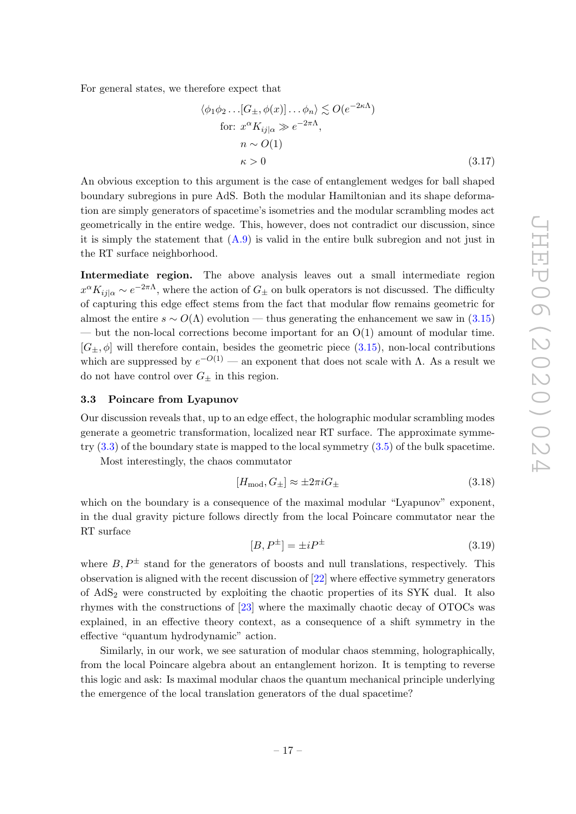For general states, we therefore expect that

$$
\langle \phi_1 \phi_2 \dots [G_{\pm}, \phi(x)] \dots \phi_n \rangle \lesssim O(e^{-2\kappa \Lambda})
$$
  
for:  $x^{\alpha} K_{ij|\alpha} \gg e^{-2\pi \Lambda}$ ,  
 $n \sim O(1)$   
 $\kappa > 0$  (3.17)

An obvious exception to this argument is the case of entanglement wedges for ball shaped boundary subregions in pure AdS. Both the modular Hamiltonian and its shape deformation are simply generators of spacetime's isometries and the modular scrambling modes act geometrically in the entire wedge. This, however, does not contradict our discussion, since it is simply the statement that  $(A.9)$  is valid in the entire bulk subregion and not just in the RT surface neighborhood.

Intermediate region. The above analysis leaves out a small intermediate region  $x^{\alpha} K_{ij|\alpha} \sim e^{-2\pi\Lambda}$ , where the action of  $G_{\pm}$  on bulk operators is not discussed. The difficulty of capturing this edge effect stems from the fact that modular flow remains geometric for almost the entire  $s \sim O(\Lambda)$  evolution — thus generating the enhancement we saw in [\(3.15\)](#page-17-5) — but the non-local corrections become important for an  $O(1)$  amount of modular time.  $[G_+, \phi]$  will therefore contain, besides the geometric piece [\(3.15\)](#page-17-5), non-local contributions which are suppressed by  $e^{-O(1)}$  — an exponent that does not scale with  $\Lambda$ . As a result we do not have control over  $G_{\pm}$  in this region.

#### <span id="page-18-0"></span>3.3 Poincare from Lyapunov

Our discussion reveals that, up to an edge effect, the holographic modular scrambling modes generate a geometric transformation, localized near RT surface. The approximate symmetry  $(3.3)$  of the boundary state is mapped to the local symmetry  $(3.5)$  of the bulk spacetime.

Most interestingly, the chaos commutator

$$
[H_{\text{mod}}, G_{\pm}] \approx \pm 2\pi i G_{\pm} \tag{3.18}
$$

which on the boundary is a consequence of the maximal modular "Lyapunov" exponent, in the dual gravity picture follows directly from the local Poincare commutator near the RT surface

$$
[B, P^{\pm}] = \pm i P^{\pm} \tag{3.19}
$$

where  $B, P^{\pm}$  stand for the generators of boosts and null translations, respectively. This observation is aligned with the recent discussion of [\[22\]](#page-24-1) where effective symmetry generators of AdS<sup>2</sup> were constructed by exploiting the chaotic properties of its SYK dual. It also rhymes with the constructions of [\[23\]](#page-24-2) where the maximally chaotic decay of OTOCs was explained, in an effective theory context, as a consequence of a shift symmetry in the effective "quantum hydrodynamic" action.

Similarly, in our work, we see saturation of modular chaos stemming, holographically, from the local Poincare algebra about an entanglement horizon. It is tempting to reverse this logic and ask: Is maximal modular chaos the quantum mechanical principle underlying the emergence of the local translation generators of the dual spacetime?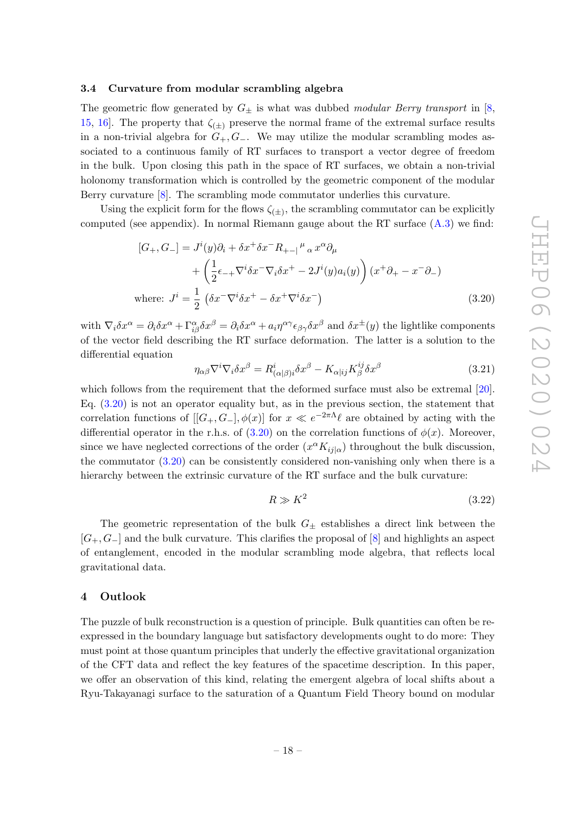#### <span id="page-19-0"></span>3.4 Curvature from modular scrambling algebra

The geometric flow generated by  $G_{\pm}$  is what was dubbed modular Berry transport in [\[8,](#page-23-5) [15,](#page-23-13) 16. The property that  $\zeta_{(+)}$  preserve the normal frame of the extremal surface results in a non-trivial algebra for  $G_+, G_-.$  We may utilize the modular scrambling modes associated to a continuous family of RT surfaces to transport a vector degree of freedom in the bulk. Upon closing this path in the space of RT surfaces, we obtain a non-trivial holonomy transformation which is controlled by the geometric component of the modular Berry curvature [\[8\]](#page-23-5). The scrambling mode commutator underlies this curvature.

Using the explicit form for the flows  $\zeta_{(\pm)}$ , the scrambling commutator can be explicitly computed (see appendix). In normal Riemann gauge about the RT surface [\(A.3\)](#page-21-1) we find:

$$
[G_+, G_-] = J^i(y)\partial_i + \delta x^+ \delta x^- R_{+-}{}^{\mu}{}_{\alpha} x^{\alpha} \partial_{\mu}
$$
  
+ 
$$
\left(\frac{1}{2}\epsilon_{-+}\nabla^i \delta x^- \nabla_i \delta x^+ - 2J^i(y)a_i(y)\right) (x^+ \partial_+ - x^- \partial_-)
$$
  
where: 
$$
J^i = \frac{1}{2} \left(\delta x^- \nabla^i \delta x^+ - \delta x^+ \nabla^i \delta x^- \right)
$$
(3.20)

with  $\nabla_i \delta x^{\alpha} = \partial_i \delta x^{\alpha} + \Gamma^{\alpha}_{i\beta} \delta x^{\beta} = \partial_i \delta x^{\alpha} + a_i \eta^{\alpha \gamma} \epsilon_{\beta \gamma} \delta x^{\beta}$  and  $\delta x^{\pm}(y)$  the lightlike components of the vector field describing the RT surface deformation. The latter is a solution to the differential equation

<span id="page-19-2"></span>
$$
\eta_{\alpha\beta}\nabla^i\nabla_i\delta x^{\beta} = R^i_{(\alpha|\beta)i}\delta x^{\beta} - K_{\alpha|ij}K^{ij}_{\beta}\delta x^{\beta}
$$
\n(3.21)

which follows from the requirement that the deformed surface must also be extremal [\[20\]](#page-23-15). Eq. [\(3.20\)](#page-19-2) is not an operator equality but, as in the previous section, the statement that correlation functions of  $[[G_+, G_-], \phi(x)]$  for  $x \ll e^{-2\pi \Lambda} \ell$  are obtained by acting with the differential operator in the r.h.s. of  $(3.20)$  on the correlation functions of  $\phi(x)$ . Moreover, since we have neglected corrections of the order  $(x^{\alpha} K_{ij}{}_{|\alpha})$  throughout the bulk discussion, the commutator [\(3.20\)](#page-19-2) can be consistently considered non-vanishing only when there is a hierarchy between the extrinsic curvature of the RT surface and the bulk curvature:

$$
R \gg K^2 \tag{3.22}
$$

The geometric representation of the bulk  $G_{\pm}$  establishes a direct link between the  $[G_+, G_+]$  and the bulk curvature. This clarifies the proposal of  $[8]$  and highlights an aspect of entanglement, encoded in the modular scrambling mode algebra, that reflects local gravitational data.

#### <span id="page-19-1"></span>4 Outlook

The puzzle of bulk reconstruction is a question of principle. Bulk quantities can often be reexpressed in the boundary language but satisfactory developments ought to do more: They must point at those quantum principles that underly the effective gravitational organization of the CFT data and reflect the key features of the spacetime description. In this paper, we offer an observation of this kind, relating the emergent algebra of local shifts about a Ryu-Takayanagi surface to the saturation of a Quantum Field Theory bound on modular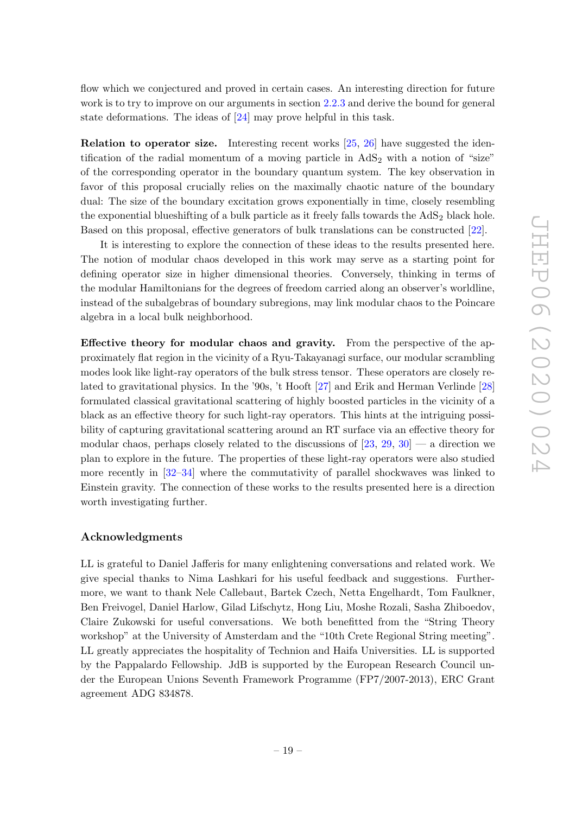flow which we conjectured and proved in certain cases. An interesting direction for future work is to try to improve on our arguments in section [2.2.3](#page-10-0) and derive the bound for general state deformations. The ideas of [\[24\]](#page-24-3) may prove helpful in this task.

Relation to operator size. Interesting recent works [\[25,](#page-24-4) [26\]](#page-24-5) have suggested the identification of the radial momentum of a moving particle in  $AdS<sub>2</sub>$  with a notion of "size" of the corresponding operator in the boundary quantum system. The key observation in favor of this proposal crucially relies on the maximally chaotic nature of the boundary dual: The size of the boundary excitation grows exponentially in time, closely resembling the exponential blueshifting of a bulk particle as it freely falls towards the  $AdS<sub>2</sub>$  black hole. Based on this proposal, effective generators of bulk translations can be constructed [\[22\]](#page-24-1).

It is interesting to explore the connection of these ideas to the results presented here. The notion of modular chaos developed in this work may serve as a starting point for defining operator size in higher dimensional theories. Conversely, thinking in terms of the modular Hamiltonians for the degrees of freedom carried along an observer's worldline, instead of the subalgebras of boundary subregions, may link modular chaos to the Poincare algebra in a local bulk neighborhood.

Effective theory for modular chaos and gravity. From the perspective of the approximately flat region in the vicinity of a Ryu-Takayanagi surface, our modular scrambling modes look like light-ray operators of the bulk stress tensor. These operators are closely related to gravitational physics. In the '90s, 't Hooft [\[27\]](#page-24-6) and Erik and Herman Verlinde [\[28\]](#page-24-7) formulated classical gravitational scattering of highly boosted particles in the vicinity of a black as an effective theory for such light-ray operators. This hints at the intriguing possibility of capturing gravitational scattering around an RT surface via an effective theory for modular chaos, perhaps closely related to the discussions of  $[23, 29, 30]$  $[23, 29, 30]$  $[23, 29, 30]$  $[23, 29, 30]$  — a direction we plan to explore in the future. The properties of these light-ray operators were also studied more recently in [\[32](#page-24-10)[–34\]](#page-24-11) where the commutativity of parallel shockwaves was linked to Einstein gravity. The connection of these works to the results presented here is a direction worth investigating further.

#### Acknowledgments

LL is grateful to Daniel Jafferis for many enlightening conversations and related work. We give special thanks to Nima Lashkari for his useful feedback and suggestions. Furthermore, we want to thank Nele Callebaut, Bartek Czech, Netta Engelhardt, Tom Faulkner, Ben Freivogel, Daniel Harlow, Gilad Lifschytz, Hong Liu, Moshe Rozali, Sasha Zhiboedov, Claire Zukowski for useful conversations. We both benefitted from the "String Theory workshop" at the University of Amsterdam and the "10th Crete Regional String meeting". LL greatly appreciates the hospitality of Technion and Haifa Universities. LL is supported by the Pappalardo Fellowship. JdB is supported by the European Research Council under the European Unions Seventh Framework Programme (FP7/2007-2013), ERC Grant agreement ADG 834878.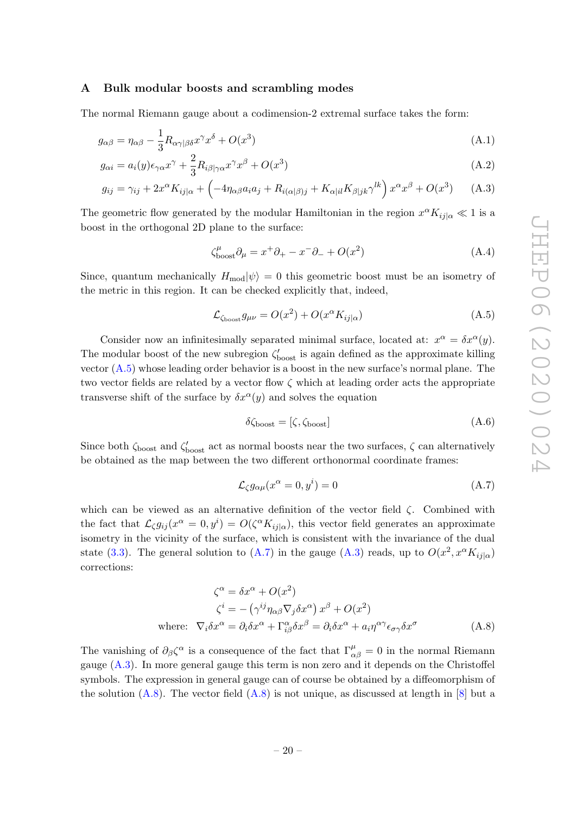#### <span id="page-21-0"></span>A Bulk modular boosts and scrambling modes

The normal Riemann gauge about a codimension-2 extremal surface takes the form:

$$
g_{\alpha\beta} = \eta_{\alpha\beta} - \frac{1}{3} R_{\alpha\gamma\beta\delta} x^{\gamma} x^{\delta} + O(x^3)
$$
\n(A.1)

$$
g_{\alpha i} = a_i(y)\epsilon_{\gamma\alpha}x^{\gamma} + \frac{2}{3}R_{i\beta|\gamma\alpha}x^{\gamma}x^{\beta} + O(x^3)
$$
\n(A.2)

$$
g_{ij} = \gamma_{ij} + 2x^{\alpha} K_{ij|\alpha} + \left( -4\eta_{\alpha\beta} a_i a_j + R_{i(\alpha|\beta)j} + K_{\alpha|i} K_{\beta|jk} \gamma^{lk} \right) x^{\alpha} x^{\beta} + O(x^3) \tag{A.3}
$$

The geometric flow generated by the modular Hamiltonian in the region  $x^{\alpha} K_{ij} |_{\alpha} \ll 1$  is a boost in the orthogonal 2D plane to the surface:

<span id="page-21-1"></span>
$$
\zeta_{\text{boost}}^{\mu} \partial_{\mu} = x^{+} \partial_{+} - x^{-} \partial_{-} + O(x^{2}) \tag{A.4}
$$

Since, quantum mechanically  $H_{\text{mod}}|\psi\rangle = 0$  this geometric boost must be an isometry of the metric in this region. It can be checked explicitly that, indeed,

<span id="page-21-2"></span>
$$
\mathcal{L}_{\zeta_{\text{boost}}} g_{\mu\nu} = O(x^2) + O(x^{\alpha} K_{ij|\alpha}) \tag{A.5}
$$

Consider now an infinitesimally separated minimal surface, located at:  $x^{\alpha} = \delta x^{\alpha}(y)$ . The modular boost of the new subregion  $\zeta_{\text{boost}}'$  is again defined as the approximate killing vector [\(A.5\)](#page-21-2) whose leading order behavior is a boost in the new surface's normal plane. The two vector fields are related by a vector flow  $\zeta$  which at leading order acts the appropriate transverse shift of the surface by  $\delta x^{\alpha}(y)$  and solves the equation

<span id="page-21-5"></span><span id="page-21-3"></span>
$$
\delta \zeta_{\text{boost}} = [\zeta, \zeta_{\text{boost}}] \tag{A.6}
$$

Since both  $\zeta_{\text{boost}}$  and  $\zeta'_{\text{boost}}$  act as normal boosts near the two surfaces,  $\zeta$  can alternatively be obtained as the map between the two different orthonormal coordinate frames:

<span id="page-21-4"></span>
$$
\mathcal{L}_{\zeta}g_{\alpha\mu}(x^{\alpha}=0,y^{i})=0
$$
\n(A.7)

which can be viewed as an alternative definition of the vector field  $\zeta$ . Combined with the fact that  $\mathcal{L}_{\zeta} g_{ij}(x^{\alpha} = 0, y^i) = O(\zeta^{\alpha} K_{ij|\alpha})$ , this vector field generates an approximate isometry in the vicinity of the surface, which is consistent with the invariance of the dual state [\(3.3\)](#page-15-1). The general solution to [\(A.7\)](#page-21-3) in the gauge [\(A.3\)](#page-21-1) reads, up to  $O(x^2, x^{\alpha} K_{ij|\alpha})$ corrections:

$$
\zeta^{\alpha} = \delta x^{\alpha} + O(x^{2})
$$
  
\n
$$
\zeta^{i} = -(\gamma^{ij} \eta_{\alpha\beta} \nabla_{j} \delta x^{\alpha}) x^{\beta} + O(x^{2})
$$
  
\nwhere:  $\nabla_{i} \delta x^{\alpha} = \partial_{i} \delta x^{\alpha} + \Gamma^{\alpha}_{i\beta} \delta x^{\beta} = \partial_{i} \delta x^{\alpha} + a_{i} \eta^{\alpha \gamma} \epsilon_{\sigma \gamma} \delta x^{\sigma}$  (A.8)

The vanishing of  $\partial_{\beta} \zeta^{\alpha}$  is a consequence of the fact that  $\Gamma^{\mu}_{\alpha\beta} = 0$  in the normal Riemann gauge [\(A.3\)](#page-21-1). In more general gauge this term is non zero and it depends on the Christoffel symbols. The expression in general gauge can of course be obtained by a diffeomorphism of the solution  $(A.8)$ . The vector field  $(A.8)$  is not unique, as discussed at length in [\[8\]](#page-23-5) but a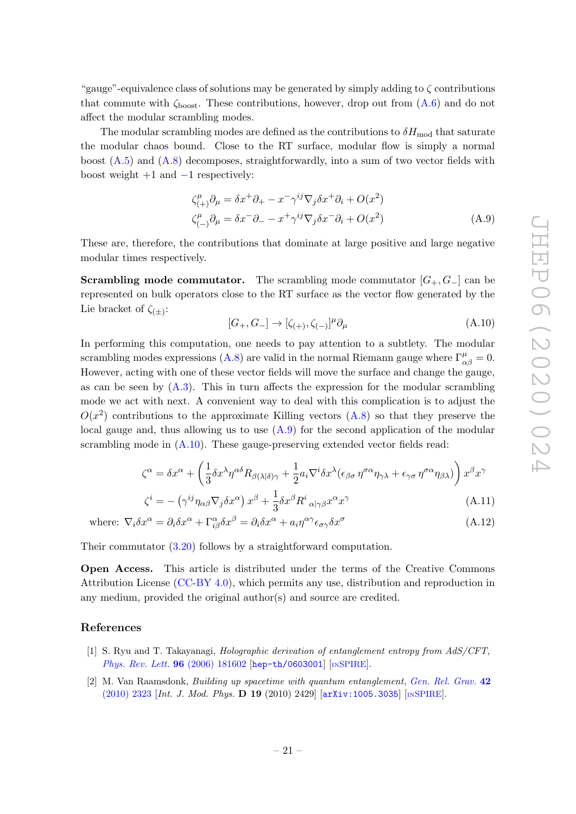"gauge"-equivalence class of solutions may be generated by simply adding to  $\zeta$  contributions that commute with  $\zeta_{boost}$ . These contributions, however, drop out from  $(A.6)$  and do not affect the modular scrambling modes.

The modular scrambling modes are defined as the contributions to  $\delta H_{\text{mod}}$  that saturate the modular chaos bound. Close to the RT surface, modular flow is simply a normal boost [\(A.5\)](#page-21-2) and [\(A.8\)](#page-21-4) decomposes, straightforwardly, into a sum of two vector fields with boost weight  $+1$  and  $-1$  respectively:

$$
\zeta_{(+)}^{\mu} \partial_{\mu} = \delta x^{+} \partial_{+} - x^{-} \gamma^{ij} \nabla_{j} \delta x^{+} \partial_{i} + O(x^{2})
$$
\n
$$
\zeta_{(-)}^{\mu} \partial_{\mu} = \delta x^{-} \partial_{-} - x^{+} \gamma^{ij} \nabla_{j} \delta x^{-} \partial_{i} + O(x^{2})
$$
\n(A.9)

These are, therefore, the contributions that dominate at large positive and large negative modular times respectively.

**Scrambling mode commutator.** The scrambling mode commutator  $[G_+, G_-]$  can be represented on bulk operators close to the RT surface as the vector flow generated by the Lie bracket of  $\zeta_{(\pm)}$ :

<span id="page-22-2"></span><span id="page-22-1"></span>
$$
[G_+, G_-] \to [\zeta_{(+)}, \zeta_{(-)}]^\mu \partial_\mu \tag{A.10}
$$

In performing this computation, one needs to pay attention to a subtlety. The modular scrambling modes expressions [\(A.8\)](#page-21-4) are valid in the normal Riemann gauge where  $\Gamma^{\mu}_{\alpha\beta} = 0$ . However, acting with one of these vector fields will move the surface and change the gauge, as can be seen by  $(A.3)$ . This in turn affects the expression for the modular scrambling mode we act with next. A convenient way to deal with this complication is to adjust the  $O(x^2)$  contributions to the approximate Killing vectors  $(A.8)$  so that they preserve the local gauge and, thus allowing us to use  $(A.9)$  for the second application of the modular scrambling mode in [\(A.10\)](#page-22-2). These gauge-preserving extended vector fields read:

$$
\zeta^{\alpha} = \delta x^{\alpha} + \left(\frac{1}{3} \delta x^{\lambda} \eta^{\alpha \delta} R_{\beta(\lambda|\delta)\gamma} + \frac{1}{2} a_i \nabla^i \delta x^{\lambda} (\epsilon_{\beta \sigma} \eta^{\sigma \alpha} \eta_{\gamma \lambda} + \epsilon_{\gamma \sigma} \eta^{\sigma \alpha} \eta_{\beta \lambda})\right) x^{\beta} x^{\gamma}
$$

$$
\zeta^{i} = -\left(\gamma^{ij}\eta_{\alpha\beta}\nabla_{j}\delta x^{\alpha}\right)x^{\beta} + \frac{1}{3}\delta x^{\beta}R^{i}_{\alpha|\gamma\beta}x^{\alpha}x^{\gamma}
$$
\n(A.11)

where:  $\nabla_i \delta x^{\alpha} = \partial_i \delta x^{\alpha} + \Gamma^{\alpha}_{i\beta} \delta x^{\beta} = \partial_i \delta x^{\alpha} + a_i \eta^{\alpha \gamma} \epsilon_{\sigma \gamma} \delta x^{\sigma}$ (A.12)

Their commutator [\(3.20\)](#page-19-2) follows by a straightforward computation.

Open Access. This article is distributed under the terms of the Creative Commons Attribution License [\(CC-BY 4.0\)](https://creativecommons.org/licenses/by/4.0/), which permits any use, distribution and reproduction in any medium, provided the original author(s) and source are credited.

#### References

- <span id="page-22-0"></span>[1] S. Ryu and T. Takayanagi, Holographic derivation of entanglement entropy from AdS/CFT, [Phys. Rev. Lett.](https://doi.org/10.1103/PhysRevLett.96.181602) 96 (2006) 181602 [[hep-th/0603001](https://arxiv.org/abs/hep-th/0603001)] [IN[SPIRE](https://inspirehep.net/search?p=find+EPRINT+hep-th/0603001)].
- [2] M. Van Raamsdonk, Building up spacetime with quantum entanglement, [Gen. Rel. Grav.](https://doi.org/10.1007/s10714-010-1034-0) 42 [\(2010\) 2323](https://doi.org/10.1007/s10714-010-1034-0) [Int. J. Mod. Phys. D 19 (2010) 2429] [[arXiv:1005.3035](https://arxiv.org/abs/1005.3035)] [IN[SPIRE](https://inspirehep.net/search?p=find+EPRINT+arXiv:1005.3035)].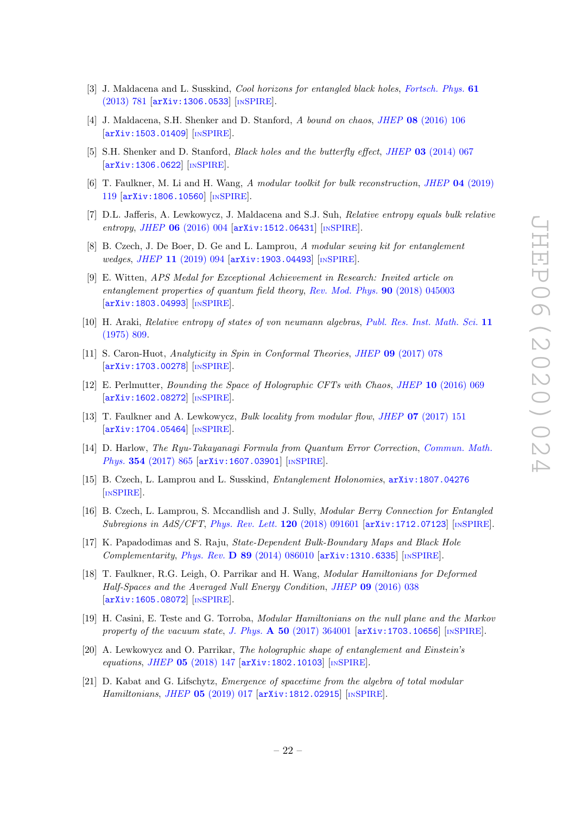- <span id="page-23-0"></span>[3] J. Maldacena and L. Susskind, *Cool horizons for entangled black holes, [Fortsch. Phys.](https://doi.org/10.1002/prop.201300020)* 61 [\(2013\) 781](https://doi.org/10.1002/prop.201300020) [[arXiv:1306.0533](https://arxiv.org/abs/1306.0533)] [IN[SPIRE](https://inspirehep.net/search?p=find+EPRINT+arXiv:1306.0533)].
- <span id="page-23-1"></span>[4] J. Maldacena, S.H. Shenker and D. Stanford, A bound on chaos, JHEP 08 [\(2016\) 106](https://doi.org/10.1007/JHEP08(2016)106) [[arXiv:1503.01409](https://arxiv.org/abs/1503.01409)] [IN[SPIRE](https://inspirehep.net/search?p=find+EPRINT+arXiv:1503.01409)].
- <span id="page-23-2"></span>[5] S.H. Shenker and D. Stanford, *Black holes and the butterfly effect*, *JHEP* 03 [\(2014\) 067](https://doi.org/10.1007/JHEP03(2014)067) [[arXiv:1306.0622](https://arxiv.org/abs/1306.0622)] [IN[SPIRE](https://inspirehep.net/search?p=find+EPRINT+arXiv:1306.0622)].
- <span id="page-23-3"></span>[6] T. Faulkner, M. Li and H. Wang, A modular toolkit for bulk reconstruction, JHEP 04 [\(2019\)](https://doi.org/10.1007/JHEP04(2019)119) [119](https://doi.org/10.1007/JHEP04(2019)119) [[arXiv:1806.10560](https://arxiv.org/abs/1806.10560)] [IN[SPIRE](https://inspirehep.net/search?p=find+EPRINT+arXiv:1806.10560)].
- <span id="page-23-4"></span>[7] D.L. Jafferis, A. Lewkowycz, J. Maldacena and S.J. Suh, Relative entropy equals bulk relative entropy, JHEP 06 [\(2016\) 004](https://doi.org/10.1007/JHEP06(2016)004) [[arXiv:1512.06431](https://arxiv.org/abs/1512.06431)] [IN[SPIRE](https://inspirehep.net/search?p=find+EPRINT+arXiv:1512.06431)].
- <span id="page-23-5"></span>[8] B. Czech, J. De Boer, D. Ge and L. Lamprou, A modular sewing kit for entanglement wedges, JHEP 11 [\(2019\) 094](https://doi.org/10.1007/JHEP11(2019)094) [[arXiv:1903.04493](https://arxiv.org/abs/1903.04493)] [IN[SPIRE](https://inspirehep.net/search?p=find+EPRINT+arXiv:1903.04493)].
- <span id="page-23-6"></span>[9] E. Witten, APS Medal for Exceptional Achievement in Research: Invited article on entanglement properties of quantum field theory, [Rev. Mod. Phys.](https://doi.org/10.1103/RevModPhys.90.045003) 90 (2018) 045003 [[arXiv:1803.04993](https://arxiv.org/abs/1803.04993)] [IN[SPIRE](https://inspirehep.net/search?p=find+EPRINT+arXiv:1803.04993)].
- <span id="page-23-7"></span>[10] H. Araki, Relative entropy of states of von neumann algebras, [Publ. Res. Inst. Math. Sci.](https://doi.org/10.2977/prims/1195191148) 11 [\(1975\) 809.](https://doi.org/10.2977/prims/1195191148)
- <span id="page-23-8"></span>[11] S. Caron-Huot, Analyticity in Spin in Conformal Theories, JHEP 09 [\(2017\) 078](https://doi.org/10.1007/JHEP09(2017)078) [[arXiv:1703.00278](https://arxiv.org/abs/1703.00278)] [IN[SPIRE](https://inspirehep.net/search?p=find+EPRINT+arXiv:1703.00278)].
- <span id="page-23-9"></span>[12] E. Perlmutter, Bounding the Space of Holographic CFTs with Chaos, JHEP 10 [\(2016\) 069](https://doi.org/10.1007/JHEP10(2016)069) [[arXiv:1602.08272](https://arxiv.org/abs/1602.08272)] [IN[SPIRE](https://inspirehep.net/search?p=find+EPRINT+arXiv:1602.08272)].
- <span id="page-23-12"></span>[13] T. Faulkner and A. Lewkowycz, Bulk locality from modular flow, JHEP 07 [\(2017\) 151](https://doi.org/10.1007/JHEP07(2017)151) [[arXiv:1704.05464](https://arxiv.org/abs/1704.05464)] [IN[SPIRE](https://inspirehep.net/search?p=find+EPRINT+arXiv:1704.05464)].
- <span id="page-23-10"></span>[14] D. Harlow, The Ryu-Takayanagi Formula from Quantum Error Correction, [Commun. Math.](https://doi.org/10.1007/s00220-017-2904-z) Phys. 354 [\(2017\) 865](https://doi.org/10.1007/s00220-017-2904-z) [[arXiv:1607.03901](https://arxiv.org/abs/1607.03901)] [IN[SPIRE](https://inspirehep.net/search?p=find+EPRINT+arXiv:1607.03901)].
- <span id="page-23-13"></span>[15] B. Czech, L. Lamprou and L. Susskind, Entanglement Holonomies, [arXiv:1807.04276](https://arxiv.org/abs/1807.04276) [IN[SPIRE](https://inspirehep.net/search?p=find+EPRINT+arXiv:1807.04276)].
- <span id="page-23-14"></span>[16] B. Czech, L. Lamprou, S. Mccandlish and J. Sully, Modular Berry Connection for Entangled Subregions in AdS/CFT, [Phys. Rev. Lett.](https://doi.org/10.1103/PhysRevLett.120.091601) 120 (2018) 091601 [[arXiv:1712.07123](https://arxiv.org/abs/1712.07123)] [IN[SPIRE](https://inspirehep.net/search?p=find+EPRINT+arXiv:1712.07123)].
- [17] K. Papadodimas and S. Raju, State-Dependent Bulk-Boundary Maps and Black Hole Complementarity, Phys. Rev. D 89 [\(2014\) 086010](https://doi.org/10.1103/PhysRevD.89.086010)  $arXiv:1310.6335$  [IN[SPIRE](https://inspirehep.net/search?p=find+EPRINT+arXiv:1310.6335)].
- <span id="page-23-11"></span>[18] T. Faulkner, R.G. Leigh, O. Parrikar and H. Wang, Modular Hamiltonians for Deformed Half-Spaces and the Averaged Null Energy Condition, JHEP 09 [\(2016\) 038](https://doi.org/10.1007/JHEP09(2016)038) [[arXiv:1605.08072](https://arxiv.org/abs/1605.08072)] [IN[SPIRE](https://inspirehep.net/search?p=find+EPRINT+arXiv:1605.08072)].
- [19] H. Casini, E. Teste and G. Torroba, Modular Hamiltonians on the null plane and the Markov property of the vacuum state, J. Phys.  $\bf{A}$  50 [\(2017\) 364001](https://doi.org/10.1088/1751-8121/aa7eaa) [[arXiv:1703.10656](https://arxiv.org/abs/1703.10656)] [IN[SPIRE](https://inspirehep.net/search?p=find+EPRINT+arXiv:1703.10656)].
- <span id="page-23-15"></span>[20] A. Lewkowycz and O. Parrikar, The holographic shape of entanglement and Einstein's equations, JHEP 05 [\(2018\) 147](https://doi.org/10.1007/JHEP05(2018)147) [[arXiv:1802.10103](https://arxiv.org/abs/1802.10103)] [IN[SPIRE](https://inspirehep.net/search?p=find+EPRINT+arXiv:1802.10103)].
- [21] D. Kabat and G. Lifschytz, *Emergence of spacetime from the algebra of total modular* Hamiltonians, JHEP 05 [\(2019\) 017](https://doi.org/10.1007/JHEP05(2019)017) [[arXiv:1812.02915](https://arxiv.org/abs/1812.02915)] [IN[SPIRE](https://inspirehep.net/search?p=find+EPRINT+arXiv:1812.02915)].